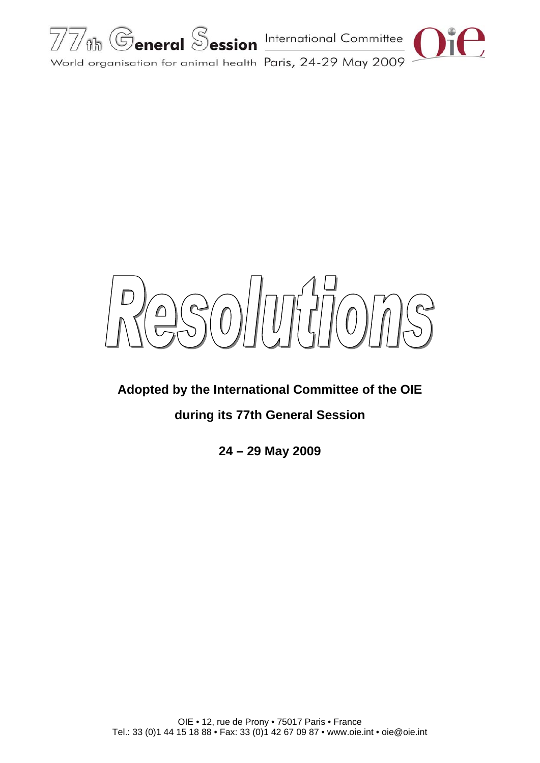



World organisation for animal health Paris, 24-29 May 2009



**Adopted by the International Committee of the OIE** 

**during its 77th General Session** 

**24 – 29 May 2009**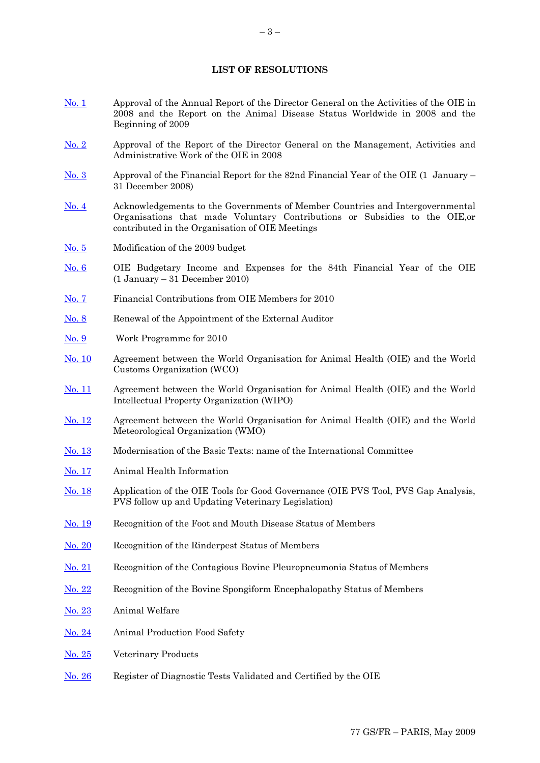#### **LIST OF RESOLUTIONS**

- [No. 1](#page-4-0) Approval of the Annual Report of the Director General on the Activities of the OIE in 2008 and the Report on the Animal Disease Status Worldwide in 2008 and the Beginning of 2009
- [No. 2](#page-5-0) Approval of the Report of the Director General on the Management, Activities and Administrative Work of the OIE in 2008
- [No. 3](#page-6-0) Approval of the Financial Report for the 82nd Financial Year of the OIE (1 January 31 December 2008)
- [No. 4](#page-7-0) Acknowledgements to the Governments of Member Countries and Intergovernmental Organisations that made Voluntary Contributions or Subsidies to the OIE,or contributed in the Organisation of OIE Meetings
- [No. 5](#page-8-0) Modification of the 2009 budget
- [No. 6](#page-10-0) OIE Budgetary Income and Expenses for the 84th Financial Year of the OIE (1 January – 31 December 2010)
- [No. 7](#page-11-0) Financial Contributions from OIE Members for 2010
- [No. 8](#page-12-0) Renewal of the Appointment of the External Auditor
- [No. 9](#page-13-0) Work Programme for 2010
- [No. 10](#page-14-0) Agreement between the World Organisation for Animal Health (OIE) and the World Customs Organization (WCO)
- [No. 11](#page-15-0) Agreement between the World Organisation for Animal Health (OIE) and the World Intellectual Property Organization (WIPO)
- [No. 12](#page-16-0) Agreement between the World Organisation for Animal Health (OIE) and the World Meteorological Organization (WMO)
- [No. 13](#page-17-0) Modernisation of the Basic Texts: name of the International Committee
- [No. 17](#page-18-0) Animal Health Information
- [No. 18](#page-19-0) Application of the OIE Tools for Good Governance (OIE PVS Tool, PVS Gap Analysis, PVS follow up and Updating Veterinary Legislation)
- [No. 19](#page-21-0) Recognition of the Foot and Mouth Disease Status of Members
- [No. 20](#page-24-0) Recognition of the Rinderpest Status of Members
- [No. 21](#page-26-0) Recognition of the Contagious Bovine Pleuropneumonia Status of Members
- [No. 22](#page-27-0) Recognition of the Bovine Spongiform Encephalopathy Status of Members
- [No. 23](#page-29-0) Animal Welfare
- [No. 24](#page-31-0) Animal Production Food Safety
- [No. 25](#page-33-0) Veterinary Products
- [No. 26](#page-35-0) Register of Diagnostic Tests Validated and Certified by the OIE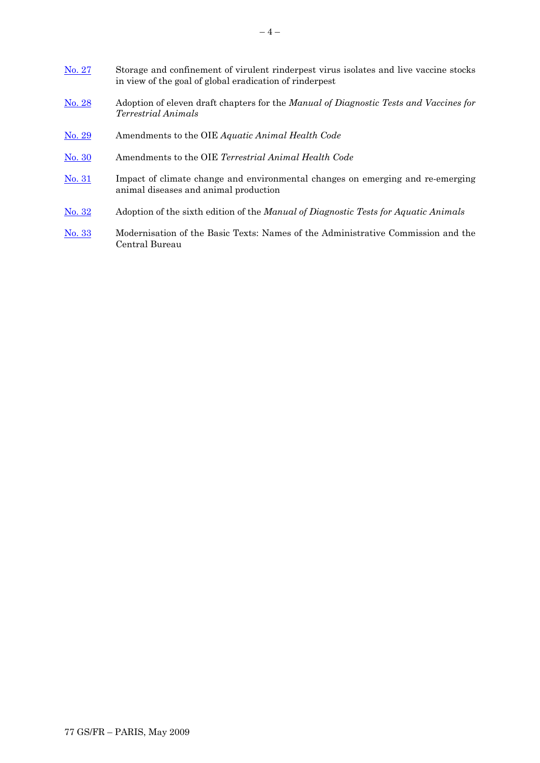- [No. 27](#page-37-0) Storage and confinement of virulent rinderpest virus isolates and live vaccine stocks in view of the goal of global eradication of rinderpest
- [No. 28](#page-39-0) Adoption of eleven draft chapters for the *Manual of Diagnostic Tests and Vaccines for Terrestrial Animals*
- [No. 29](#page-40-0) Amendments to the OIE *Aquatic Animal Health Code*
- [No. 30](#page-41-0) Amendments to the OIE *Terrestrial Animal Health Code*
- [No. 31](#page-50-0) Impact of climate change and environmental changes on emerging and re-emerging animal diseases and animal production
- [No. 32](#page-52-0) Adoption of the sixth edition of the *Manual of Diagnostic Tests for Aquatic Animals*
- [No. 33](#page-53-0) Modernisation of the Basic Texts: Names of the Administrative Commission and the Central Bureau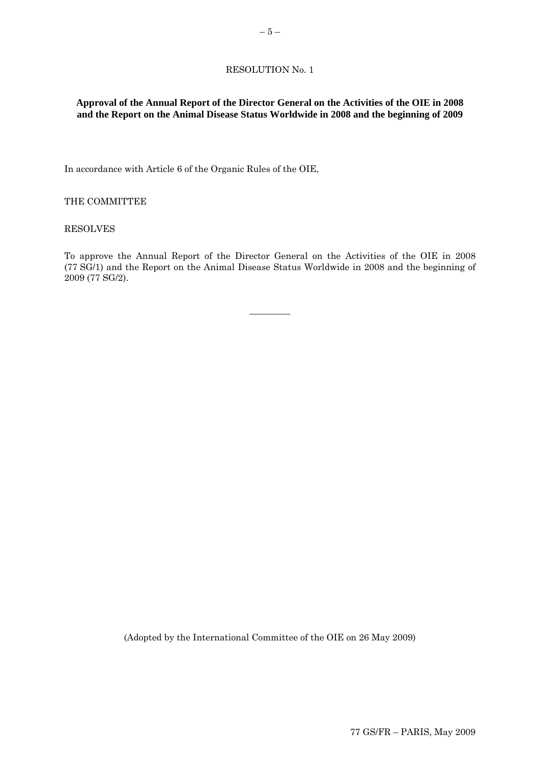# <span id="page-4-0"></span>**Approval of the Annual Report of the Director General on the Activities of the OIE in 2008 and the Report on the Animal Disease Status Worldwide in 2008 and the beginning of 2009**

In accordance with Article 6 of the Organic Rules of the OIE,

### THE COMMITTEE

#### RESOLVES

To approve the Annual Report of the Director General on the Activities of the OIE in 2008 (77 SG/1) and the Report on the Animal Disease Status Worldwide in 2008 and the beginning of 2009 (77 SG/2).

 $\overline{\phantom{a}}$  , where  $\overline{\phantom{a}}$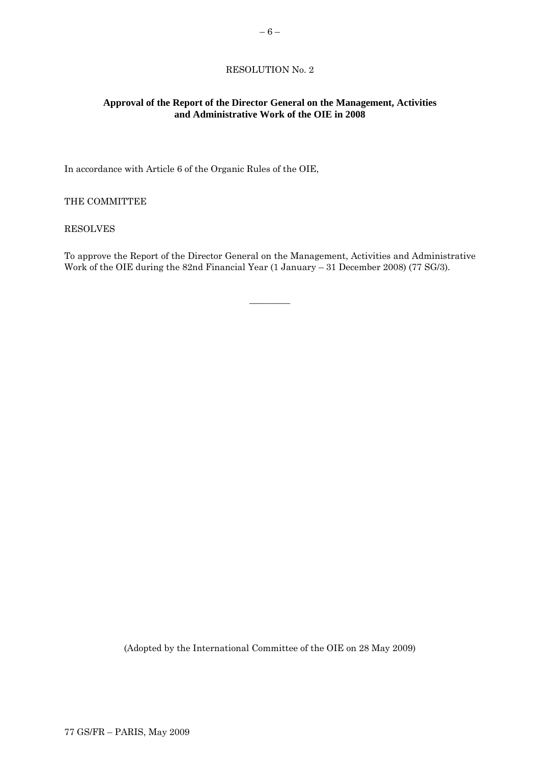## <span id="page-5-0"></span>**Approval of the Report of the Director General on the Management, Activities and Administrative Work of the OIE in 2008**

In accordance with Article 6 of the Organic Rules of the OIE,

### THE COMMITTEE

#### RESOLVES

To approve the Report of the Director General on the Management, Activities and Administrative Work of the OIE during the 82nd Financial Year (1 January – 31 December 2008) (77 SG/3).

 $\overline{\phantom{a}}$  , where  $\overline{\phantom{a}}$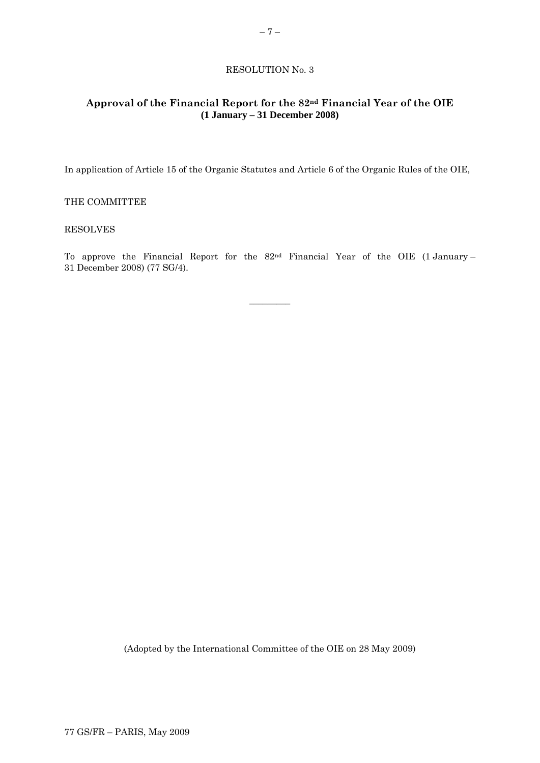# <span id="page-6-0"></span>**Approval of the Financial Report for the 82nd Financial Year of the OIE (1 January – 31 December 2008)**

In application of Article 15 of the Organic Statutes and Article 6 of the Organic Rules of the OIE,

### THE COMMITTEE

#### RESOLVES

To approve the Financial Report for the 82nd Financial Year of the OIE (1 January – 31 December 2008) (77 SG/4).

 $\overline{\phantom{a}}$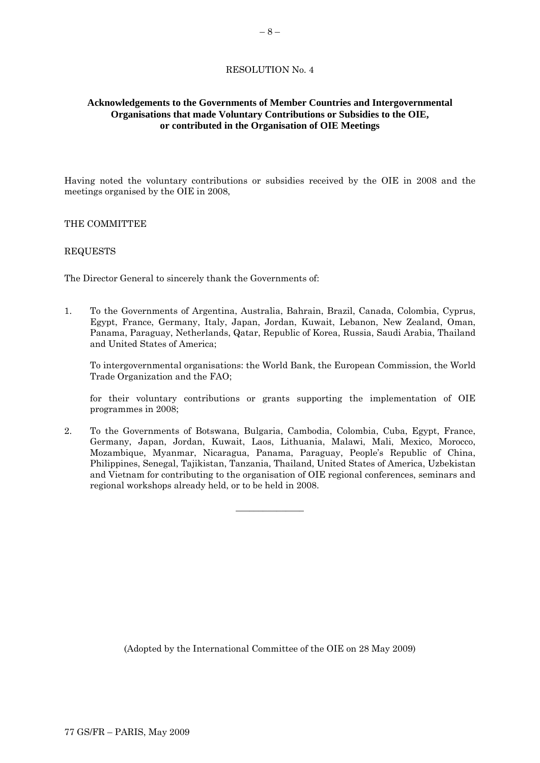# <span id="page-7-0"></span>**Acknowledgements to the Governments of Member Countries and Intergovernmental Organisations that made Voluntary Contributions or Subsidies to the OIE, or contributed in the Organisation of OIE Meetings**

Having noted the voluntary contributions or subsidies received by the OIE in 2008 and the meetings organised by the OIE in 2008,

### THE COMMITTEE

### REQUESTS

The Director General to sincerely thank the Governments of:

1. To the Governments of Argentina, Australia, Bahrain, Brazil, Canada, Colombia, Cyprus, Egypt, France, Germany, Italy, Japan, Jordan, Kuwait, Lebanon, New Zealand, Oman, Panama, Paraguay, Netherlands, Qatar, Republic of Korea, Russia, Saudi Arabia, Thailand and United States of America;

To intergovernmental organisations: the World Bank, the European Commission, the World Trade Organization and the FAO;

for their voluntary contributions or grants supporting the implementation of OIE programmes in 2008;

2. To the Governments of Botswana, Bulgaria, Cambodia, Colombia, Cuba, Egypt, France, Germany, Japan, Jordan, Kuwait, Laos, Lithuania, Malawi, Mali, Mexico, Morocco, Mozambique, Myanmar, Nicaragua, Panama, Paraguay, People's Republic of China, Philippines, Senegal, Tajikistan, Tanzania, Thailand, United States of America, Uzbekistan and Vietnam for contributing to the organisation of OIE regional conferences, seminars and regional workshops already held, or to be held in 2008.

 $\overline{\phantom{a}}$  , where  $\overline{\phantom{a}}$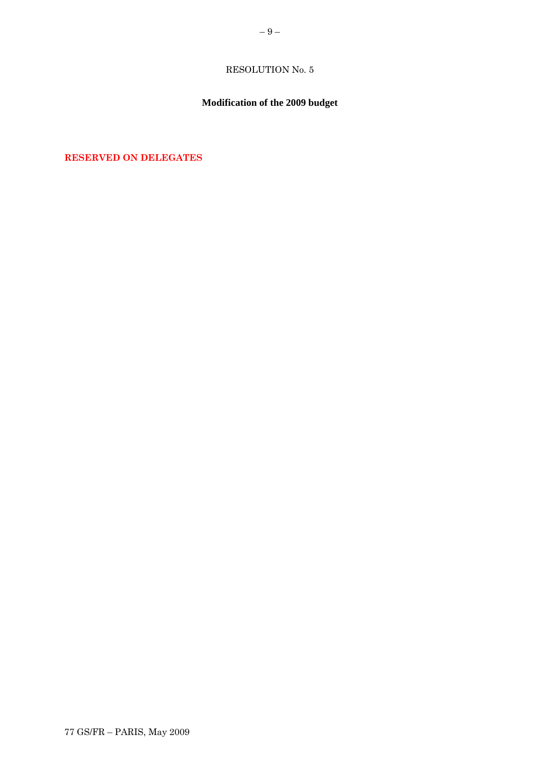# **Modification of the 2009 budget**

<span id="page-8-0"></span>**RESERVED ON DELEGATES**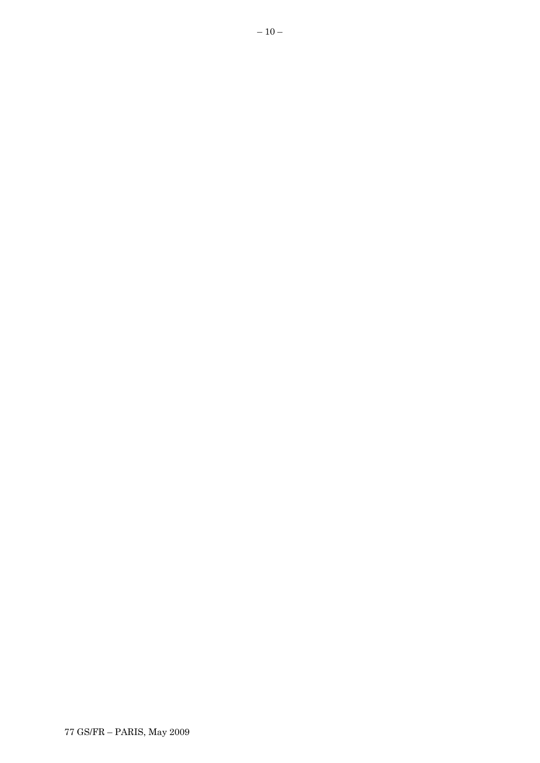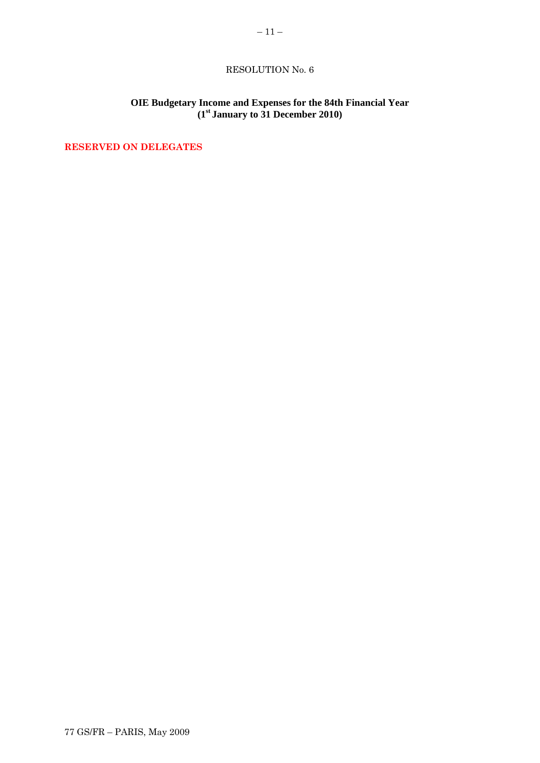## **OIE Budgetary Income and Expenses for the 84th Financial Year (1st January to 31 December 2010)**

<span id="page-10-0"></span>**RESERVED ON DELEGATES**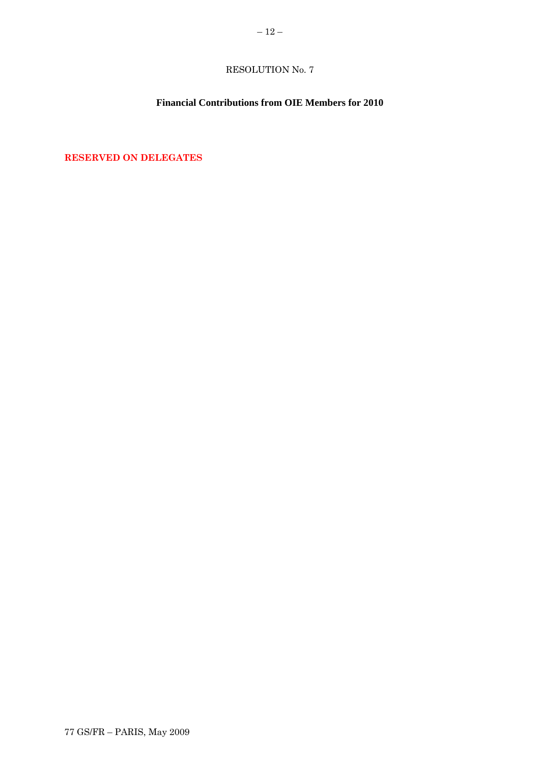# **Financial Contributions from OIE Members for 2010**

<span id="page-11-0"></span>**RESERVED ON DELEGATES**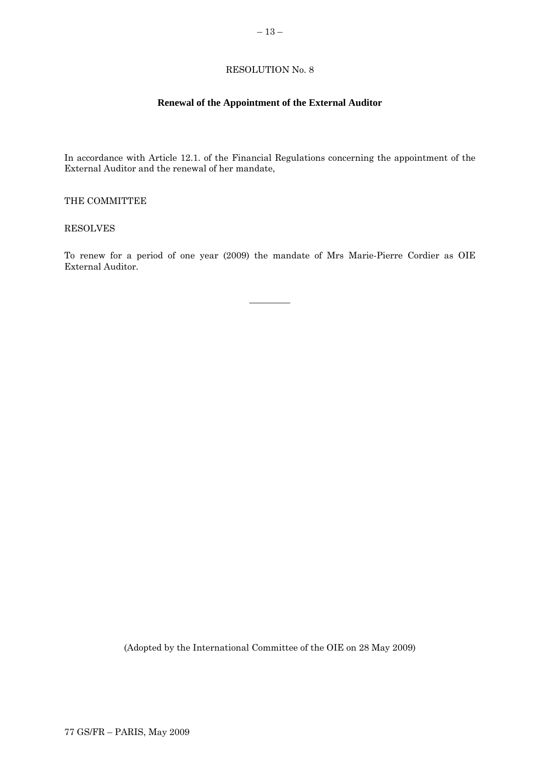## **Renewal of the Appointment of the External Auditor**

<span id="page-12-0"></span>In accordance with Article 12.1. of the Financial Regulations concerning the appointment of the External Auditor and the renewal of her mandate,

### THE COMMITTEE

#### RESOLVES

To renew for a period of one year (2009) the mandate of Mrs Marie-Pierre Cordier as OIE External Auditor.

 $\overline{\phantom{a}}$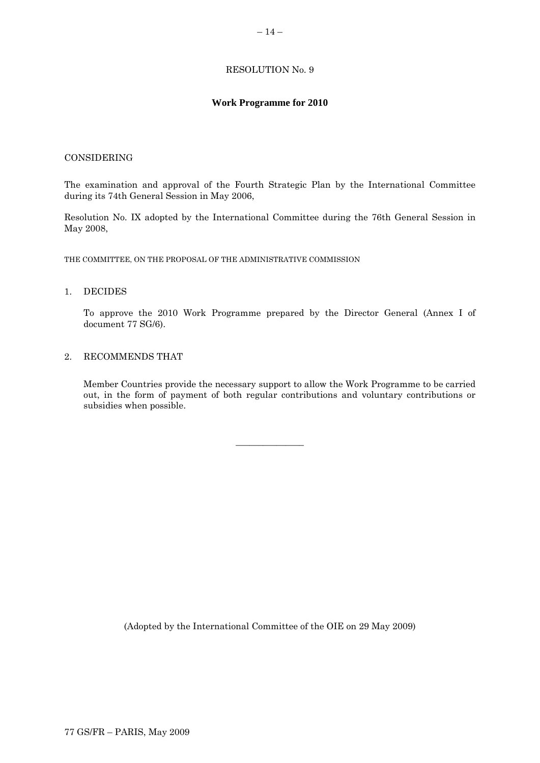### **Work Programme for 2010**

#### <span id="page-13-0"></span>CONSIDERING

The examination and approval of the Fourth Strategic Plan by the International Committee during its 74th General Session in May 2006,

Resolution No. IX adopted by the International Committee during the 76th General Session in May 2008,

THE COMMITTEE, ON THE PROPOSAL OF THE ADMINISTRATIVE COMMISSION

### 1. DECIDES

To approve the 2010 Work Programme prepared by the Director General (Annex I of document 77 SG/6).

### 2. RECOMMENDS THAT

Member Countries provide the necessary support to allow the Work Programme to be carried out, in the form of payment of both regular contributions and voluntary contributions or subsidies when possible.

 $\overline{\phantom{a}}$  , where  $\overline{\phantom{a}}$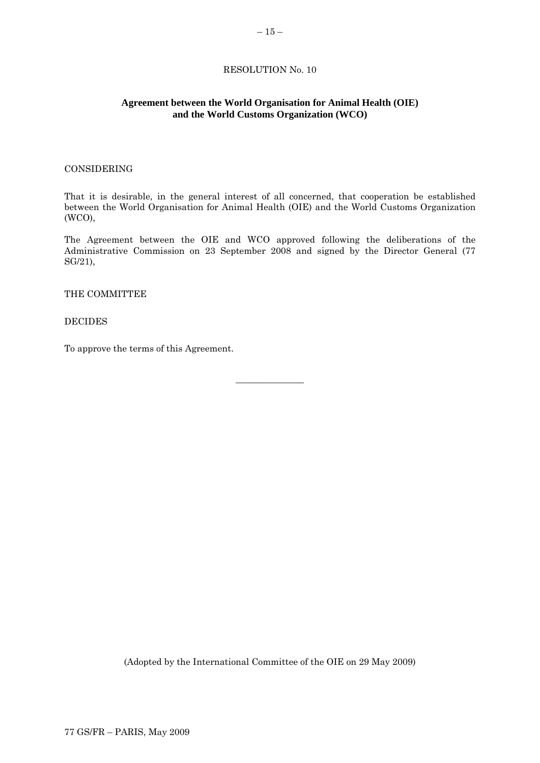# <span id="page-14-0"></span>**Agreement between the World Organisation for Animal Health (OIE) and the World Customs Organization (WCO)**

### CONSIDERING

That it is desirable, in the general interest of all concerned, that cooperation be established between the World Organisation for Animal Health (OIE) and the World Customs Organization (WCO),

The Agreement between the OIE and WCO approved following the deliberations of the Administrative Commission on 23 September 2008 and signed by the Director General (77 SG/21),

 $\overline{\phantom{a}}$  , where  $\overline{\phantom{a}}$ 

THE COMMITTEE

DECIDES

To approve the terms of this Agreement.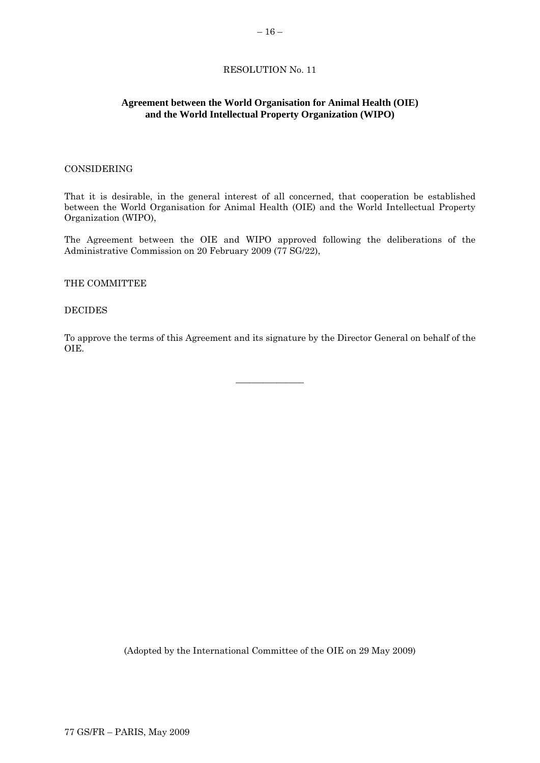### <span id="page-15-0"></span>**Agreement between the World Organisation for Animal Health (OIE) and the World Intellectual Property Organization (WIPO)**

#### CONSIDERING

That it is desirable, in the general interest of all concerned, that cooperation be established between the World Organisation for Animal Health (OIE) and the World Intellectual Property Organization (WIPO),

The Agreement between the OIE and WIPO approved following the deliberations of the Administrative Commission on 20 February 2009 (77 SG/22),

## THE COMMITTEE

#### DECIDES

To approve the terms of this Agreement and its signature by the Director General on behalf of the OIE.

 $\overline{\phantom{a}}$  , where  $\overline{\phantom{a}}$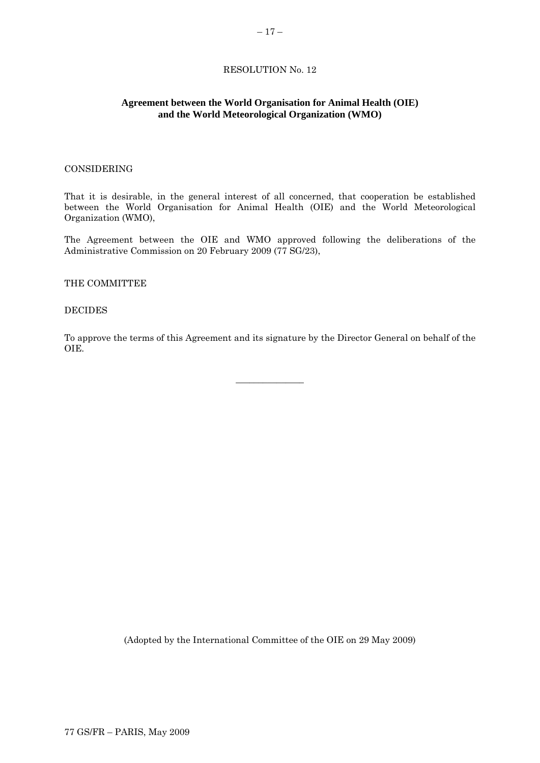### <span id="page-16-0"></span>**Agreement between the World Organisation for Animal Health (OIE) and the World Meteorological Organization (WMO)**

#### CONSIDERING

That it is desirable, in the general interest of all concerned, that cooperation be established between the World Organisation for Animal Health (OIE) and the World Meteorological Organization (WMO),

The Agreement between the OIE and WMO approved following the deliberations of the Administrative Commission on 20 February 2009 (77 SG/23),

### THE COMMITTEE

#### DECIDES

To approve the terms of this Agreement and its signature by the Director General on behalf of the OIE.

 $\overline{\phantom{a}}$  , where  $\overline{\phantom{a}}$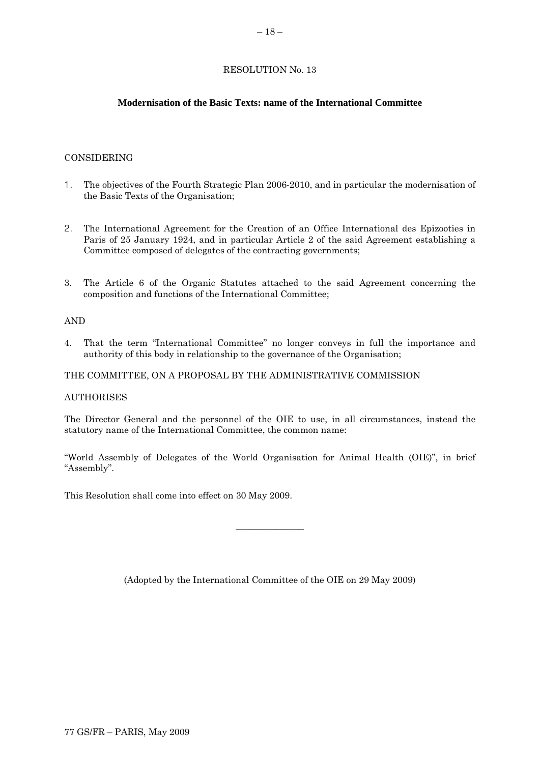# <span id="page-17-0"></span>**Modernisation of the Basic Texts: name of the International Committee**

### CONSIDERING

- 1. The objectives of the Fourth Strategic Plan 2006-2010, and in particular the modernisation of the Basic Texts of the Organisation;
- 2. The International Agreement for the Creation of an Office International des Epizooties in Paris of 25 January 1924, and in particular Article 2 of the said Agreement establishing a Committee composed of delegates of the contracting governments;
- 3. The Article 6 of the Organic Statutes attached to the said Agreement concerning the composition and functions of the International Committee;

### AND

4. That the term "International Committee" no longer conveys in full the importance and authority of this body in relationship to the governance of the Organisation;

### THE COMMITTEE, ON A PROPOSAL BY THE ADMINISTRATIVE COMMISSION

### **AUTHORISES**

The Director General and the personnel of the OIE to use, in all circumstances, instead the statutory name of the International Committee, the common name:

"World Assembly of Delegates of the World Organisation for Animal Health (OIE)", in brief "Assembly".

This Resolution shall come into effect on 30 May 2009.

(Adopted by the International Committee of the OIE on 29 May 2009)

 $\overline{\phantom{a}}$  , where  $\overline{\phantom{a}}$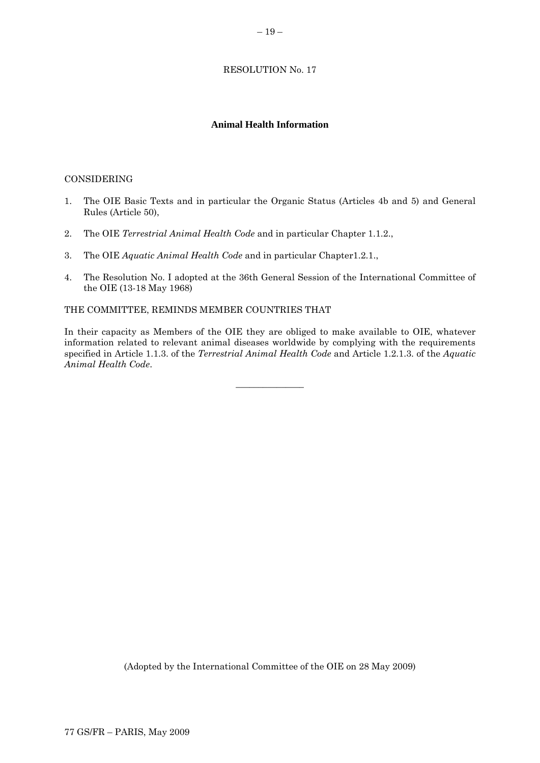### **Animal Health Information**

#### <span id="page-18-0"></span>CONSIDERING

- 1. The OIE Basic Texts and in particular the Organic Status (Articles 4b and 5) and General Rules (Article 50),
- 2. The OIE *Terrestrial Animal Health Code* and in particular Chapter 1.1.2.,
- 3. The OIE *Aquatic Animal Health Code* and in particular Chapter1.2.1.,
- 4. The Resolution No. I adopted at the 36th General Session of the International Committee of the OIE (13-18 May 1968)

THE COMMITTEE, REMINDS MEMBER COUNTRIES THAT

In their capacity as Members of the OIE they are obliged to make available to OIE, whatever information related to relevant animal diseases worldwide by complying with the requirements specified in Article 1.1.3. of the *Terrestrial Animal Health Code* and Article 1.2.1.3. of the *Aquatic Animal Health Code*.

 $\overline{\phantom{a}}$  , where  $\overline{\phantom{a}}$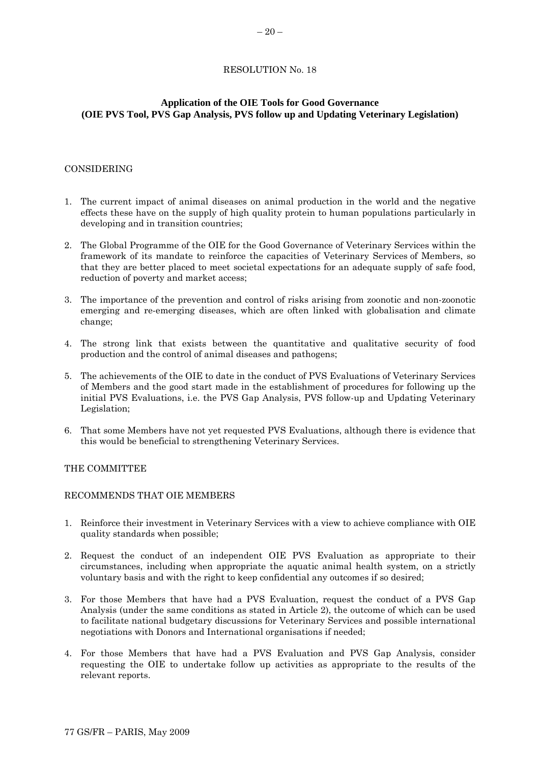# <span id="page-19-0"></span>**Application of the OIE Tools for Good Governance (OIE PVS Tool, PVS Gap Analysis, PVS follow up and Updating Veterinary Legislation)**

### CONSIDERING

- 1. The current impact of animal diseases on animal production in the world and the negative effects these have on the supply of high quality protein to human populations particularly in developing and in transition countries;
- 2. The Global Programme of the OIE for the Good Governance of Veterinary Services within the framework of its mandate to reinforce the capacities of Veterinary Services of Members, so that they are better placed to meet societal expectations for an adequate supply of safe food, reduction of poverty and market access;
- 3. The importance of the prevention and control of risks arising from zoonotic and non-zoonotic emerging and re-emerging diseases, which are often linked with globalisation and climate change;
- 4. The strong link that exists between the quantitative and qualitative security of food production and the control of animal diseases and pathogens;
- 5. The achievements of the OIE to date in the conduct of PVS Evaluations of Veterinary Services of Members and the good start made in the establishment of procedures for following up the initial PVS Evaluations, i.e. the PVS Gap Analysis, PVS follow-up and Updating Veterinary Legislation;
- 6. That some Members have not yet requested PVS Evaluations, although there is evidence that this would be beneficial to strengthening Veterinary Services.

#### THE COMMITTEE

#### RECOMMENDS THAT OIE MEMBERS

- 1. Reinforce their investment in Veterinary Services with a view to achieve compliance with OIE quality standards when possible;
- 2. Request the conduct of an independent OIE PVS Evaluation as appropriate to their circumstances, including when appropriate the aquatic animal health system, on a strictly voluntary basis and with the right to keep confidential any outcomes if so desired;
- 3. For those Members that have had a PVS Evaluation, request the conduct of a PVS Gap Analysis (under the same conditions as stated in Article 2), the outcome of which can be used to facilitate national budgetary discussions for Veterinary Services and possible international negotiations with Donors and International organisations if needed;
- 4. For those Members that have had a PVS Evaluation and PVS Gap Analysis, consider requesting the OIE to undertake follow up activities as appropriate to the results of the relevant reports.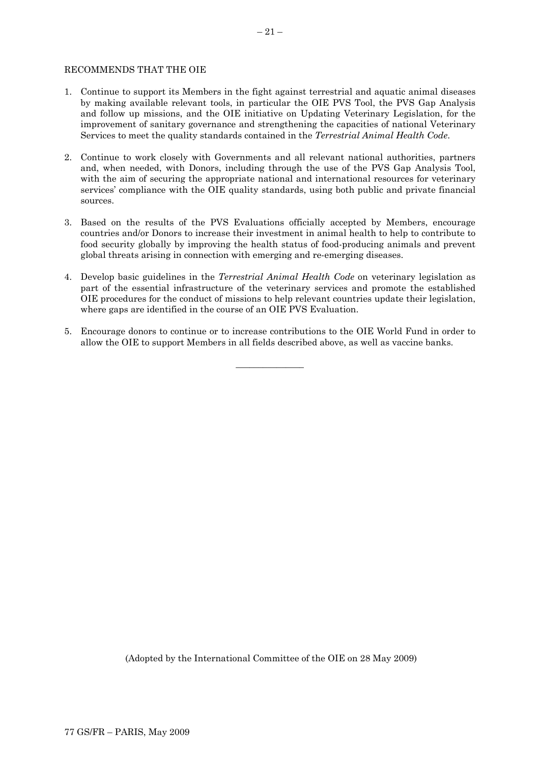#### RECOMMENDS THAT THE OIE

- 1. Continue to support its Members in the fight against terrestrial and aquatic animal diseases by making available relevant tools, in particular the OIE PVS Tool, the PVS Gap Analysis and follow up missions, and the OIE initiative on Updating Veterinary Legislation, for the improvement of sanitary governance and strengthening the capacities of national Veterinary Services to meet the quality standards contained in the *Terrestrial Animal Health Code*.
- 2. Continue to work closely with Governments and all relevant national authorities, partners and, when needed, with Donors, including through the use of the PVS Gap Analysis Tool, with the aim of securing the appropriate national and international resources for veterinary services' compliance with the OIE quality standards, using both public and private financial sources.
- 3. Based on the results of the PVS Evaluations officially accepted by Members, encourage countries and/or Donors to increase their investment in animal health to help to contribute to food security globally by improving the health status of food-producing animals and prevent global threats arising in connection with emerging and re-emerging diseases.
- 4. Develop basic guidelines in the *Terrestrial Animal Health Code* on veterinary legislation as part of the essential infrastructure of the veterinary services and promote the established OIE procedures for the conduct of missions to help relevant countries update their legislation, where gaps are identified in the course of an OIE PVS Evaluation.
- 5. Encourage donors to continue or to increase contributions to the OIE World Fund in order to allow the OIE to support Members in all fields described above, as well as vaccine banks.

 $\overline{\phantom{a}}$  , where  $\overline{\phantom{a}}$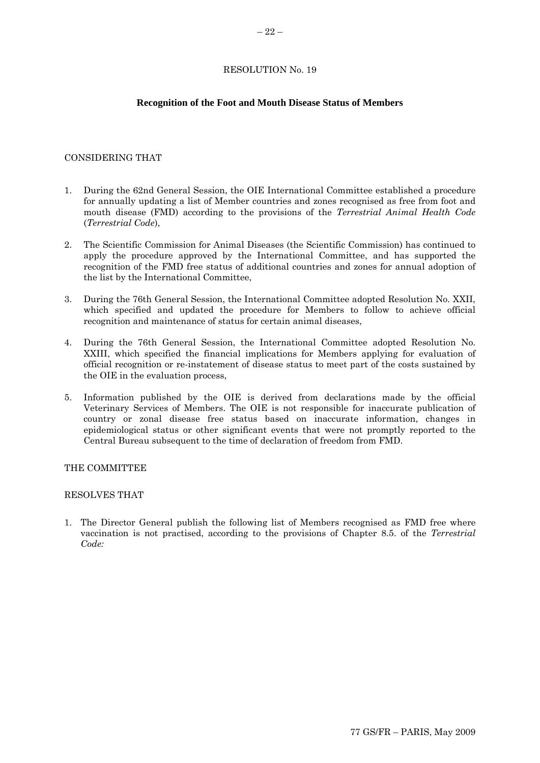### **Recognition of the Foot and Mouth Disease Status of Members**

#### <span id="page-21-0"></span>CONSIDERING THAT

- 1. During the 62nd General Session, the OIE International Committee established a procedure for annually updating a list of Member countries and zones recognised as free from foot and mouth disease (FMD) according to the provisions of the *Terrestrial Animal Health Code*  (*Terrestrial Code*),
- 2. The Scientific Commission for Animal Diseases (the Scientific Commission) has continued to apply the procedure approved by the International Committee, and has supported the recognition of the FMD free status of additional countries and zones for annual adoption of the list by the International Committee,
- 3. During the 76th General Session, the International Committee adopted Resolution No. XXII, which specified and updated the procedure for Members to follow to achieve official recognition and maintenance of status for certain animal diseases,
- 4. During the 76th General Session, the International Committee adopted Resolution No. XXIII, which specified the financial implications for Members applying for evaluation of official recognition or re-instatement of disease status to meet part of the costs sustained by the OIE in the evaluation process,
- 5. Information published by the OIE is derived from declarations made by the official Veterinary Services of Members. The OIE is not responsible for inaccurate publication of country or zonal disease free status based on inaccurate information, changes in epidemiological status or other significant events that were not promptly reported to the Central Bureau subsequent to the time of declaration of freedom from FMD.

#### THE COMMITTEE

#### RESOLVES THAT

1. The Director General publish the following list of Members recognised as FMD free where vaccination is not practised, according to the provisions of Chapter 8.5. of the *Terrestrial Code:*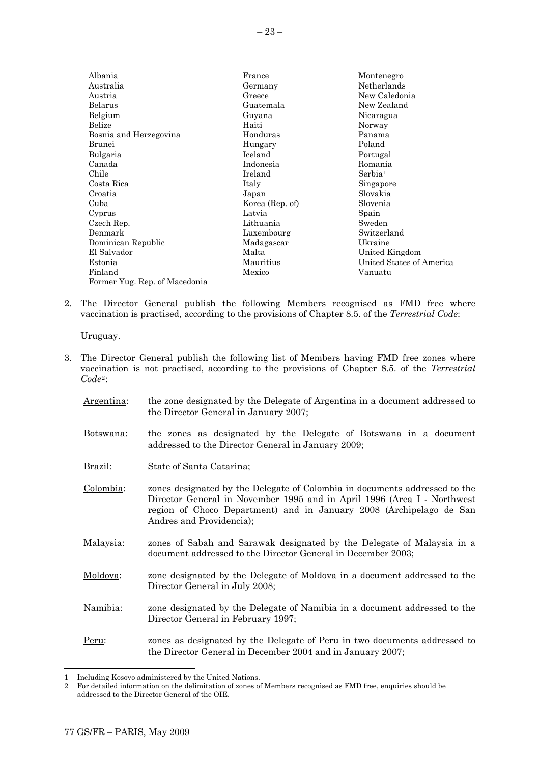| Albania                       | France          | Montenegro               |
|-------------------------------|-----------------|--------------------------|
| Australia                     | Germany         | Netherlands              |
| Austria                       | Greece          | New Caledonia            |
| Belarus                       | Guatemala       | New Zealand              |
| Belgium                       | Guyana          | Nicaragua                |
| Belize                        | Haiti           | Norway                   |
| Bosnia and Herzegovina        | Honduras        | Panama                   |
| Brunei                        | Hungary         | Poland                   |
| Bulgaria                      | Iceland         | Portugal                 |
| Canada                        | Indonesia       | Romania                  |
| Chile                         | Ireland         | Serbia <sup>1</sup>      |
| Costa Rica                    | Italy           | Singapore                |
| Croatia                       | Japan           | Slovakia                 |
| Cuba                          | Korea (Rep. of) | Slovenia                 |
| Cyprus                        | Latvia          | Spain                    |
| Czech Rep.                    | Lithuania       | Sweden                   |
| Denmark                       | Luxembourg      | Switzerland              |
| Dominican Republic            | Madagascar      | Ukraine                  |
| El Salvador                   | Malta           | United Kingdom           |
| Estonia                       | Mauritius       | United States of America |
| Finland                       | Mexico          | Vanuatu                  |
| Former Yug. Rep. of Macedonia |                 |                          |

2. The Director General publish the following Members recognised as FMD free where vaccination is practised, according to the provisions of Chapter 8.5. of the *Terrestrial Code*:

Uruguay.

- 3. The Director General publish the following list of Members having FMD free zones where vaccination is not practised, according to the provisions of Chapter 8.5. of the *Terrestrial Code*[2](#page-22-1):
	- Argentina: the zone designated by the Delegate of Argentina in a document addressed to the Director General in January 2007;
	- Botswana: the zones as designated by the Delegate of Botswana in a document addressed to the Director General in January 2009;
	- Brazil: State of Santa Catarina;
	- Colombia: zones designated by the Delegate of Colombia in documents addressed to the Director General in November 1995 and in April 1996 (Area I - Northwest region of Choco Department) and in January 2008 (Archipelago de San Andres and Providencia);
	- Malaysia: zones of Sabah and Sarawak designated by the Delegate of Malaysia in a document addressed to the Director General in December 2003;
	- Moldova: zone designated by the Delegate of Moldova in a document addressed to the Director General in July 2008;
	- Namibia: zone designated by the Delegate of Namibia in a document addressed to the Director General in February 1997;
	- Peru: zones as designated by the Delegate of Peru in two documents addressed to the Director General in December 2004 and in January 2007;

-

<sup>1</sup> Including Kosovo administered by the United Nations.

<span id="page-22-1"></span><span id="page-22-0"></span><sup>2</sup> For detailed information on the delimitation of zones of Members recognised as FMD free, enquiries should be addressed to the Director General of the OIE.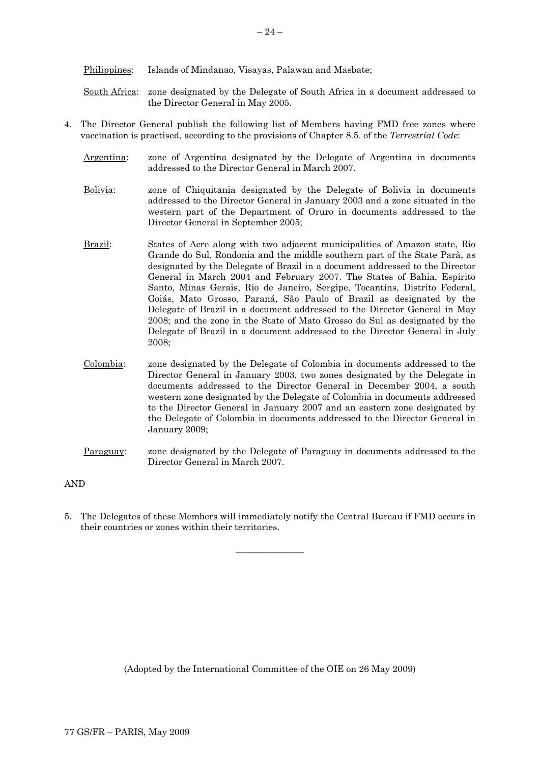Philippines: Islands of Mindanao, Visayas, Palawan and Masbate;

South Africa: zone designated by the Delegate of South Africa in a document addressed to the Director General in May 2005.

- 4. The Director General publish the following list of Members having FMD free zones where vaccination is practised, according to the provisions of Chapter 8.5. of the *Terrestrial Code*:
	- Argentina: zone of Argentina designated by the Delegate of Argentina in documents addressed to the Director General in March 2007.
	- Bolivia: zone of Chiquitania designated by the Delegate of Bolivia in documents addressed to the Director General in January 2003 and a zone situated in the western part of the Department of Oruro in documents addressed to the Director General in September 2005;
	- Brazil: States of Acre along with two adjacent municipalities of Amazon state, Rio Grande do Sul, Rondonia and the middle southern part of the State Parà, as designated by the Delegate of Brazil in a document addressed to the Director General in March 2004 and February 2007. The States of Bahia, Espírito Santo, Minas Gerais, Rio de Janeiro, Sergipe, Tocantins, Distrito Federal, Goiás, Mato Grosso, Paraná, São Paulo of Brazil as designated by the Delegate of Brazil in a document addressed to the Director General in May 2008; and the zone in the State of Mato Grosso do Sul as designated by the Delegate of Brazil in a document addressed to the Director General in July 2008;
	- Colombia: zone designated by the Delegate of Colombia in documents addressed to the Director General in January 2003, two zones designated by the Delegate in documents addressed to the Director General in December 2004, a south western zone designated by the Delegate of Colombia in documents addressed to the Director General in January 2007 and an eastern zone designated by the Delegate of Colombia in documents addressed to the Director General in January 2009;
	- Paraguay: zone designated by the Delegate of Paraguay in documents addressed to the Director General in March 2007.

AND

5. The Delegates of these Members will immediately notify the Central Bureau if FMD occurs in their countries or zones within their territories.

 $\overline{\phantom{a}}$  , where  $\overline{\phantom{a}}$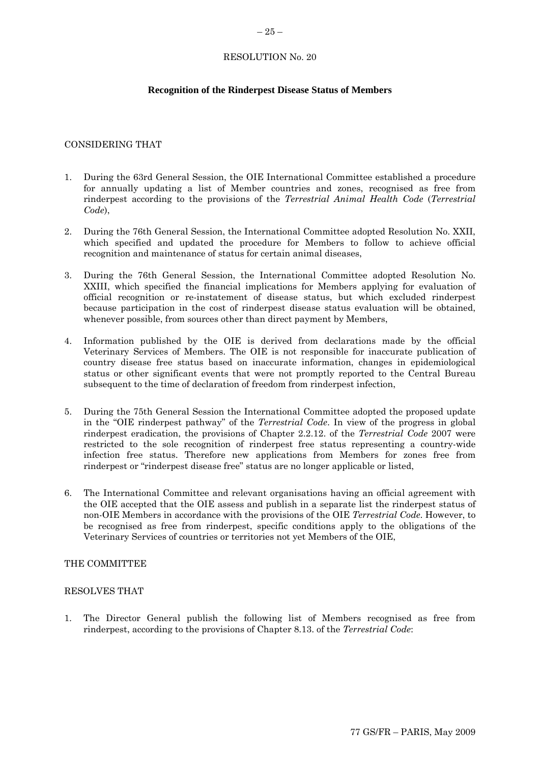### **Recognition of the Rinderpest Disease Status of Members**

### <span id="page-24-0"></span>CONSIDERING THAT

- 1. During the 63rd General Session, the OIE International Committee established a procedure for annually updating a list of Member countries and zones, recognised as free from rinderpest according to the provisions of the *Terrestrial Animal Health Code* (*Terrestrial Code*),
- 2. During the 76th General Session, the International Committee adopted Resolution No. XXII, which specified and updated the procedure for Members to follow to achieve official recognition and maintenance of status for certain animal diseases,
- 3. During the 76th General Session, the International Committee adopted Resolution No. XXIII, which specified the financial implications for Members applying for evaluation of official recognition or re-instatement of disease status, but which excluded rinderpest because participation in the cost of rinderpest disease status evaluation will be obtained, whenever possible, from sources other than direct payment by Members,
- 4. Information published by the OIE is derived from declarations made by the official Veterinary Services of Members. The OIE is not responsible for inaccurate publication of country disease free status based on inaccurate information, changes in epidemiological status or other significant events that were not promptly reported to the Central Bureau subsequent to the time of declaration of freedom from rinderpest infection.
- 5. During the 75th General Session the International Committee adopted the proposed update in the "OIE rinderpest pathway" of the *Terrestrial Code*. In view of the progress in global rinderpest eradication, the provisions of Chapter 2.2.12. of the *Terrestrial Code* 2007 were restricted to the sole recognition of rinderpest free status representing a country-wide infection free status. Therefore new applications from Members for zones free from rinderpest or "rinderpest disease free" status are no longer applicable or listed,
- 6. The International Committee and relevant organisations having an official agreement with the OIE accepted that the OIE assess and publish in a separate list the rinderpest status of non-OIE Members in accordance with the provisions of the OIE *Terrestrial Code*. However, to be recognised as free from rinderpest, specific conditions apply to the obligations of the Veterinary Services of countries or territories not yet Members of the OIE,

#### THE COMMITTEE

#### RESOLVES THAT

1. The Director General publish the following list of Members recognised as free from rinderpest, according to the provisions of Chapter 8.13. of the *Terrestrial Code*: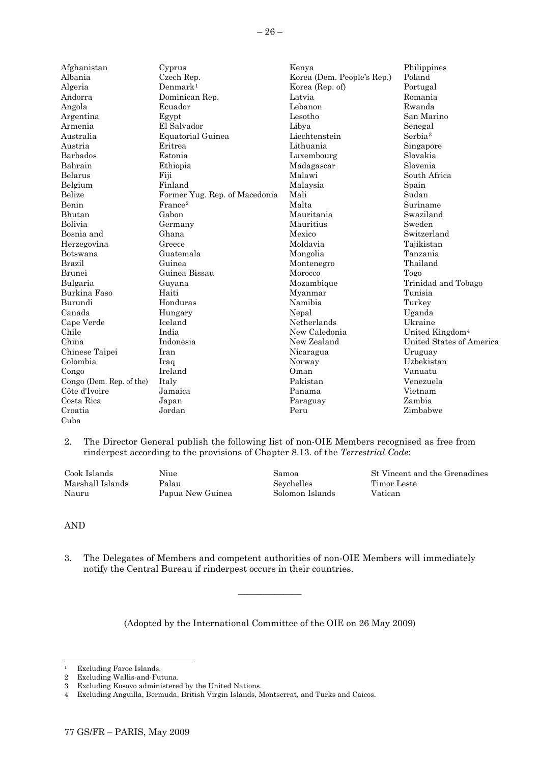| Afghanistan              | Cyprus                        | Kenya                      | Philippines                 |
|--------------------------|-------------------------------|----------------------------|-----------------------------|
| Albania                  | Czech Rep.                    | Korea (Dem. People's Rep.) | Poland                      |
| Algeria                  | Denmark <sup>1</sup>          | Korea (Rep. of)            | Portugal                    |
| Andorra                  | Dominican Rep.                | Latvia                     | Romania                     |
| Angola                   | Ecuador                       | Lebanon                    | Rwanda                      |
| Argentina                | Egypt                         | Lesotho                    | San Marino                  |
| Armenia                  | El Salvador                   | Libya                      | Senegal                     |
| Australia                | Equatorial Guinea             | Liechtenstein              | Serbia <sup>3</sup>         |
| Austria                  | Eritrea                       | Lithuania                  | Singapore                   |
| <b>Barbados</b>          | Estonia                       | Luxembourg                 | Slovakia                    |
| Bahrain                  | Ethiopia                      | Madagascar                 | Slovenia                    |
| Belarus                  | Fiji                          | Malawi                     | South Africa                |
| Belgium                  | Finland                       | Malaysia                   | Spain                       |
| Belize                   | Former Yug. Rep. of Macedonia | Mali                       | Sudan                       |
| Benin                    | France <sup>2</sup>           | Malta                      | Suriname                    |
| Bhutan                   | Gabon                         | Mauritania                 | Swaziland                   |
| Bolivia                  | Germany                       | Mauritius                  | Sweden                      |
| Bosnia and               | Ghana                         | Mexico                     | Switzerland                 |
| Herzegovina              | Greece                        | Moldavia                   | Tajikistan                  |
| Botswana                 | Guatemala                     | Mongolia                   | Tanzania                    |
| <b>Brazil</b>            | Guinea                        | Montenegro                 | Thailand                    |
| <b>Brunei</b>            | Guinea Bissau                 | Morocco                    | Togo                        |
| Bulgaria                 | Guyana                        | Mozambique                 | Trinidad and Tobago         |
| Burkina Faso             | Haiti                         | Myanmar                    | Tunisia                     |
| Burundi                  | Honduras                      | Namibia                    | Turkey                      |
| Canada                   | Hungary                       | Nepal                      | Uganda                      |
| Cape Verde               | Iceland                       | Netherlands                | Ukraine                     |
| Chile                    | India                         | New Caledonia              | United Kingdom <sup>4</sup> |
| China                    | Indonesia                     | New Zealand                | United States of America    |
| Chinese Taipei           | Iran                          | Nicaragua                  | Uruguay                     |
| Colombia                 | Iraq                          | Norway                     | Uzbekistan                  |
| Congo                    | Ireland                       | Oman                       | Vanuatu                     |
| Congo (Dem. Rep. of the) | Italy                         | Pakistan                   | Venezuela                   |
| Côte d'Ivoire            | Jamaica                       | Panama                     | Vietnam                     |
| Costa Rica               | Japan                         | Paraguay                   | Zambia                      |
| Croatia                  | Jordan                        | Peru                       | Zimbabwe                    |
| Cuba                     |                               |                            |                             |

2. The Director General publish the following list of non-OIE Members recognised as free from rinderpest according to the provisions of Chapter 8.13. of the *Terrestrial Code*:

| Cook Islands     | Niue             | Samoa           | St Vincent and the Grenadines |
|------------------|------------------|-----------------|-------------------------------|
| Marshall Islands | Palau            | Seychelles      | Timor Leste                   |
| Nauru            | Papua New Guinea | Solomon Islands | Vatican                       |

AND

1

3. The Delegates of Members and competent authorities of non-OIE Members will immediately notify the Central Bureau if rinderpest occurs in their countries.

 $\overline{\phantom{a}}$  , we can also the contract of  $\overline{\phantom{a}}$ 

<span id="page-25-1"></span><span id="page-25-0"></span><sup>&</sup>lt;sup>1</sup> Excluding Faroe Islands.<br>2 Excluding Wallis-and-Fu

Excluding Wallis-and-Futuna.

<span id="page-25-3"></span><span id="page-25-2"></span><sup>3</sup> Excluding Kosovo administered by the United Nations.

<sup>4</sup> Excluding Anguilla, Bermuda, British Virgin Islands, Montserrat, and Turks and Caicos.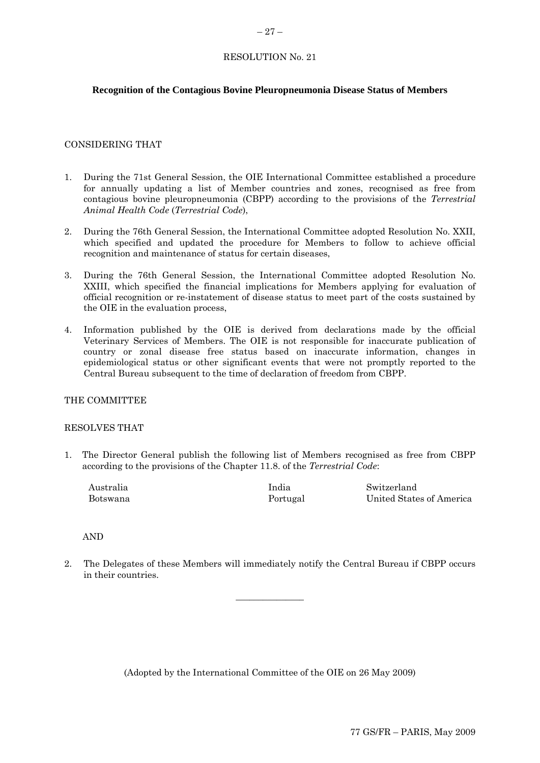### <span id="page-26-0"></span>**Recognition of the Contagious Bovine Pleuropneumonia Disease Status of Members**

### CONSIDERING THAT

- 1. During the 71st General Session, the OIE International Committee established a procedure for annually updating a list of Member countries and zones, recognised as free from contagious bovine pleuropneumonia (CBPP) according to the provisions of the *Terrestrial Animal Health Code* (*Terrestrial Code*),
- 2. During the 76th General Session, the International Committee adopted Resolution No. XXII, which specified and updated the procedure for Members to follow to achieve official recognition and maintenance of status for certain diseases,
- 3. During the 76th General Session, the International Committee adopted Resolution No. XXIII, which specified the financial implications for Members applying for evaluation of official recognition or re-instatement of disease status to meet part of the costs sustained by the OIE in the evaluation process,
- 4. Information published by the OIE is derived from declarations made by the official Veterinary Services of Members. The OIE is not responsible for inaccurate publication of country or zonal disease free status based on inaccurate information, changes in epidemiological status or other significant events that were not promptly reported to the Central Bureau subsequent to the time of declaration of freedom from CBPP.

#### THE COMMITTEE

#### RESOLVES THAT

1. The Director General publish the following list of Members recognised as free from CBPP according to the provisions of the Chapter 11.8. of the *Terrestrial Code*:

Australia Botswana India Portugal

Switzerland United States of America

AND

2. The Delegates of these Members will immediately notify the Central Bureau if CBPP occurs in their countries.

 $\overline{\phantom{a}}$  , we can also the contract of  $\overline{\phantom{a}}$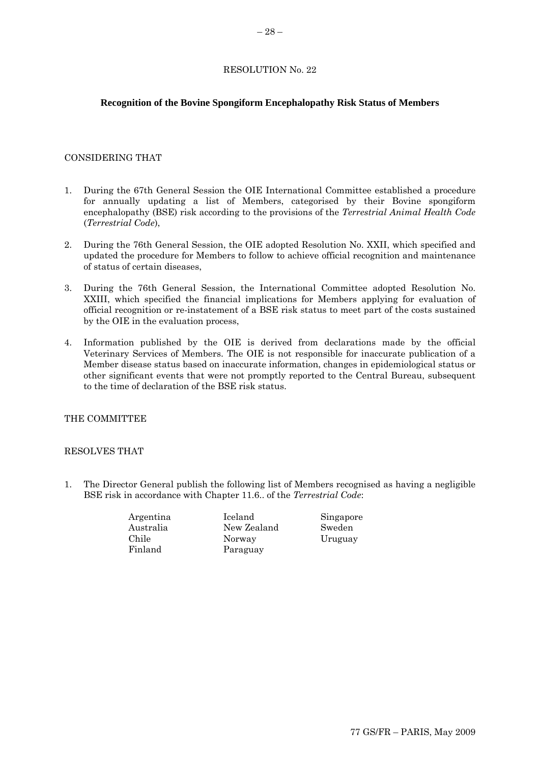### <span id="page-27-0"></span>**Recognition of the Bovine Spongiform Encephalopathy Risk Status of Members**

#### CONSIDERING THAT

- 1. During the 67th General Session the OIE International Committee established a procedure for annually updating a list of Members, categorised by their Bovine spongiform encephalopathy (BSE) risk according to the provisions of the *Terrestrial Animal Health Code* (*Terrestrial Code*),
- 2. During the 76th General Session, the OIE adopted Resolution No. XXII, which specified and updated the procedure for Members to follow to achieve official recognition and maintenance of status of certain diseases,
- 3. During the 76th General Session, the International Committee adopted Resolution No. XXIII, which specified the financial implications for Members applying for evaluation of official recognition or re-instatement of a BSE risk status to meet part of the costs sustained by the OIE in the evaluation process,
- 4. Information published by the OIE is derived from declarations made by the official Veterinary Services of Members. The OIE is not responsible for inaccurate publication of a Member disease status based on inaccurate information, changes in epidemiological status or other significant events that were not promptly reported to the Central Bureau, subsequent to the time of declaration of the BSE risk status.

#### THE COMMITTEE

### RESOLVES THAT

- 1. The Director General publish the following list of Members recognised as having a negligible BSE risk in accordance with Chapter 11.6.. of the *Terrestrial Code*:
	-
	- Argentina Iceland Singapore Australia New Zealand Sweden Chile Norway Uruguay Finland Paraguay
		-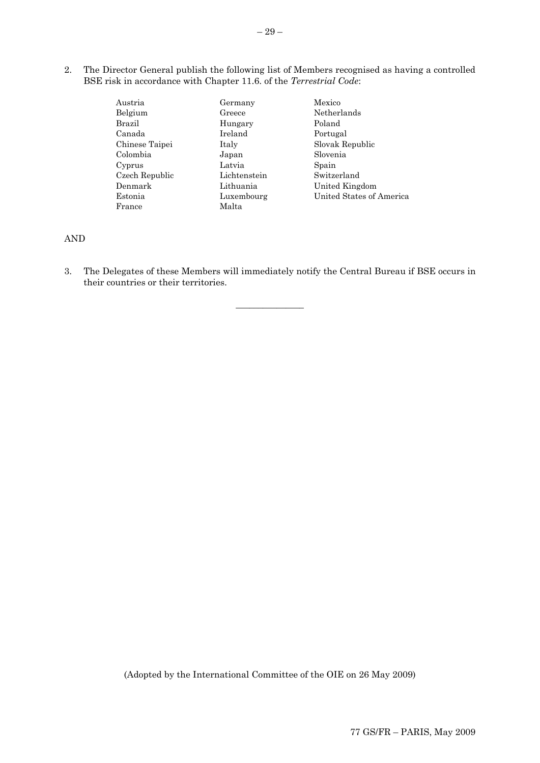2. The Director General publish the following list of Members recognised as having a controlled BSE risk in accordance with Chapter 11.6. of the *Terrestrial Code*:

| Austria        | Germany      | Mexico                   |
|----------------|--------------|--------------------------|
| Belgium        | Greece       | Netherlands              |
| Brazil         | Hungary      | Poland                   |
| Canada         | Ireland      | Portugal                 |
| Chinese Taipei | Italy        | Slovak Republic          |
| Colombia       | Japan        | Slovenia                 |
| Cyprus         | Latvia       | Spain                    |
| Czech Republic | Lichtenstein | Switzerland              |
| Denmark        | Lithuania    | United Kingdom           |
| Estonia        | Luxembourg   | United States of America |
| France         | Malta        |                          |

AND

3. The Delegates of these Members will immediately notify the Central Bureau if BSE occurs in their countries or their territories.

 $\overline{\phantom{a}}$  , we can also the contract of  $\overline{\phantom{a}}$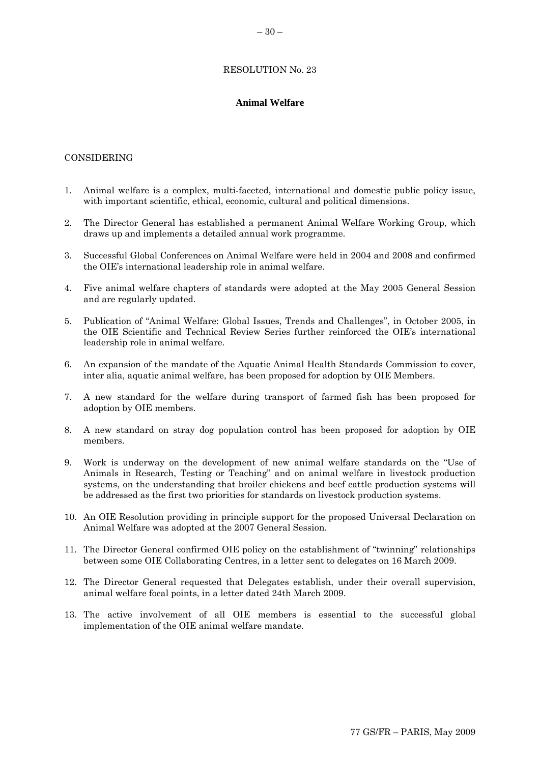### **Animal Welfare**

### <span id="page-29-0"></span>CONSIDERING

- 1. Animal welfare is a complex, multi-faceted, international and domestic public policy issue, with important scientific, ethical, economic, cultural and political dimensions.
- 2. The Director General has established a permanent Animal Welfare Working Group, which draws up and implements a detailed annual work programme.
- 3. Successful Global Conferences on Animal Welfare were held in 2004 and 2008 and confirmed the OIE's international leadership role in animal welfare.
- 4. Five animal welfare chapters of standards were adopted at the May 2005 General Session and are regularly updated.
- 5. Publication of "Animal Welfare: Global Issues, Trends and Challenges", in October 2005, in the OIE Scientific and Technical Review Series further reinforced the OIE's international leadership role in animal welfare.
- 6. An expansion of the mandate of the Aquatic Animal Health Standards Commission to cover, inter alia, aquatic animal welfare, has been proposed for adoption by OIE Members.
- 7. A new standard for the welfare during transport of farmed fish has been proposed for adoption by OIE members.
- 8. A new standard on stray dog population control has been proposed for adoption by OIE members.
- 9. Work is underway on the development of new animal welfare standards on the "Use of Animals in Research, Testing or Teaching" and on animal welfare in livestock production systems, on the understanding that broiler chickens and beef cattle production systems will be addressed as the first two priorities for standards on livestock production systems.
- 10. An OIE Resolution providing in principle support for the proposed Universal Declaration on Animal Welfare was adopted at the 2007 General Session.
- 11. The Director General confirmed OIE policy on the establishment of "twinning" relationships between some OIE Collaborating Centres, in a letter sent to delegates on 16 March 2009.
- 12. The Director General requested that Delegates establish, under their overall supervision, animal welfare focal points, in a letter dated 24th March 2009.
- 13. The active involvement of all OIE members is essential to the successful global implementation of the OIE animal welfare mandate.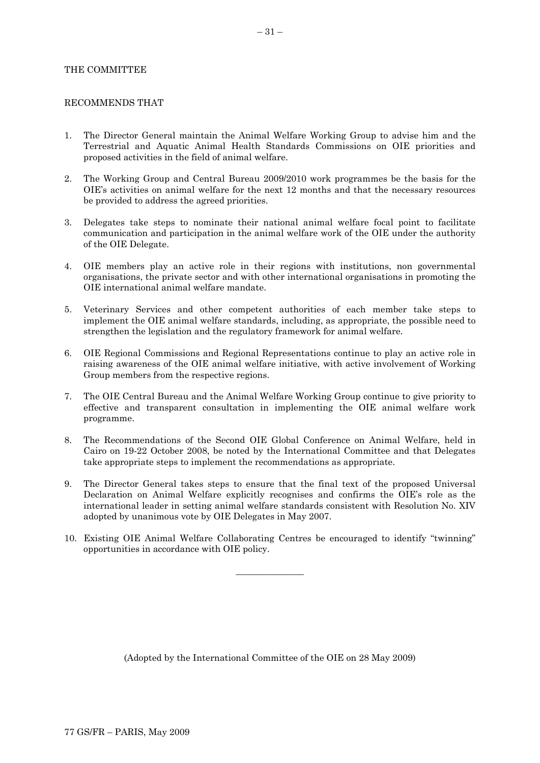#### THE COMMITTEE

### RECOMMENDS THAT

- 1. The Director General maintain the Animal Welfare Working Group to advise him and the Terrestrial and Aquatic Animal Health Standards Commissions on OIE priorities and proposed activities in the field of animal welfare.
- 2. The Working Group and Central Bureau 2009/2010 work programmes be the basis for the OIE's activities on animal welfare for the next 12 months and that the necessary resources be provided to address the agreed priorities.
- 3. Delegates take steps to nominate their national animal welfare focal point to facilitate communication and participation in the animal welfare work of the OIE under the authority of the OIE Delegate.
- 4. OIE members play an active role in their regions with institutions, non governmental organisations, the private sector and with other international organisations in promoting the OIE international animal welfare mandate.
- 5. Veterinary Services and other competent authorities of each member take steps to implement the OIE animal welfare standards, including, as appropriate, the possible need to strengthen the legislation and the regulatory framework for animal welfare.
- 6. OIE Regional Commissions and Regional Representations continue to play an active role in raising awareness of the OIE animal welfare initiative, with active involvement of Working Group members from the respective regions.
- 7. The OIE Central Bureau and the Animal Welfare Working Group continue to give priority to effective and transparent consultation in implementing the OIE animal welfare work programme.
- 8. The Recommendations of the Second OIE Global Conference on Animal Welfare, held in Cairo on 19-22 October 2008, be noted by the International Committee and that Delegates take appropriate steps to implement the recommendations as appropriate.
- 9. The Director General takes steps to ensure that the final text of the proposed Universal Declaration on Animal Welfare explicitly recognises and confirms the OIE's role as the international leader in setting animal welfare standards consistent with Resolution No. XIV adopted by unanimous vote by OIE Delegates in May 2007.
- 10. Existing OIE Animal Welfare Collaborating Centres be encouraged to identify "twinning" opportunities in accordance with OIE policy.

 $\overline{\phantom{a}}$  , where  $\overline{\phantom{a}}$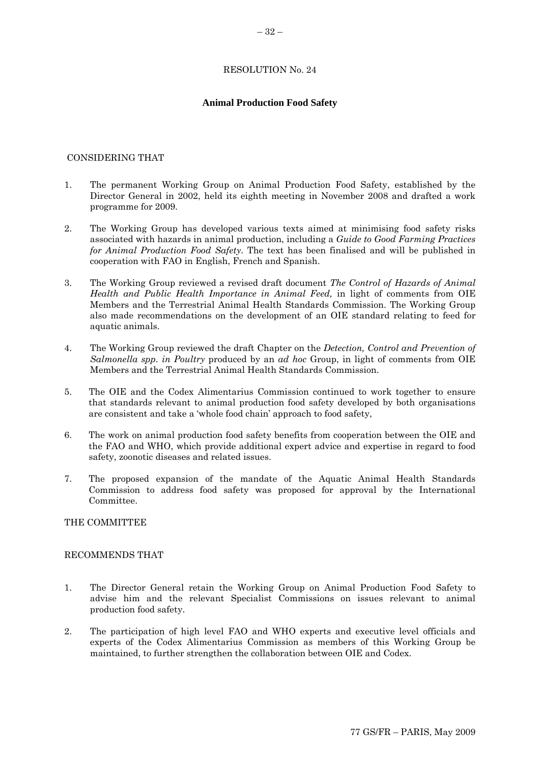### **Animal Production Food Safety**

### <span id="page-31-0"></span>CONSIDERING THAT

- 1. The permanent Working Group on Animal Production Food Safety, established by the Director General in 2002, held its eighth meeting in November 2008 and drafted a work programme for 2009.
- 2. The Working Group has developed various texts aimed at minimising food safety risks associated with hazards in animal production, including a *Guide to Good Farming Practices for Animal Production Food Safety*. The text has been finalised and will be published in cooperation with FAO in English, French and Spanish.
- 3. The Working Group reviewed a revised draft document *The Control of Hazards of Animal Health and Public Health Importance in Animal Feed,* in light of comments from OIE Members and the Terrestrial Animal Health Standards Commission. The Working Group also made recommendations on the development of an OIE standard relating to feed for aquatic animals.
- 4. The Working Group reviewed the draft Chapter on the *Detection, Control and Prevention of Salmonella spp. in Poultry* produced by an *ad hoc* Group, in light of comments from OIE Members and the Terrestrial Animal Health Standards Commission.
- 5. The OIE and the Codex Alimentarius Commission continued to work together to ensure that standards relevant to animal production food safety developed by both organisations are consistent and take a 'whole food chain' approach to food safety,
- 6. The work on animal production food safety benefits from cooperation between the OIE and the FAO and WHO, which provide additional expert advice and expertise in regard to food safety, zoonotic diseases and related issues.
- 7. The proposed expansion of the mandate of the Aquatic Animal Health Standards Commission to address food safety was proposed for approval by the International Committee.

#### THE COMMITTEE

#### RECOMMENDS THAT

- 1. The Director General retain the Working Group on Animal Production Food Safety to advise him and the relevant Specialist Commissions on issues relevant to animal production food safety.
- 2. The participation of high level FAO and WHO experts and executive level officials and experts of the Codex Alimentarius Commission as members of this Working Group be maintained, to further strengthen the collaboration between OIE and Codex.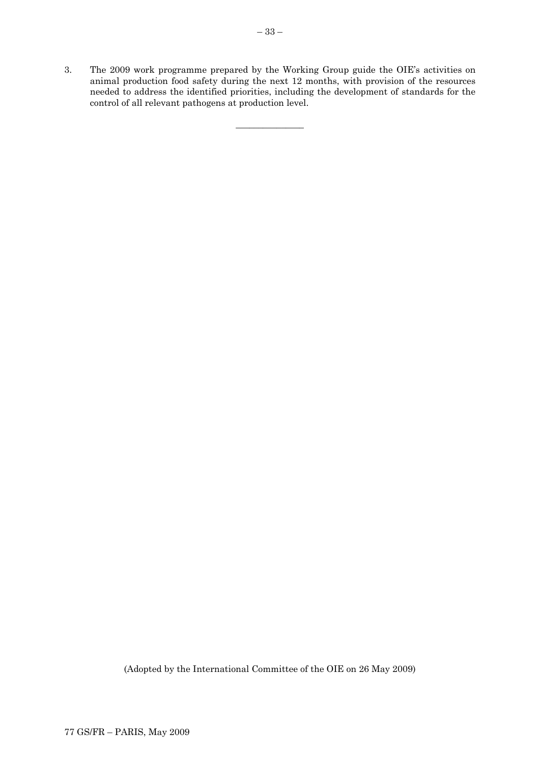3. The 2009 work programme prepared by the Working Group guide the OIE's activities on animal production food safety during the next 12 months, with provision of the resources needed to address the identified priorities, including the development of standards for the control of all relevant pathogens at production level.

 $\overline{\phantom{a}}$  , where  $\overline{\phantom{a}}$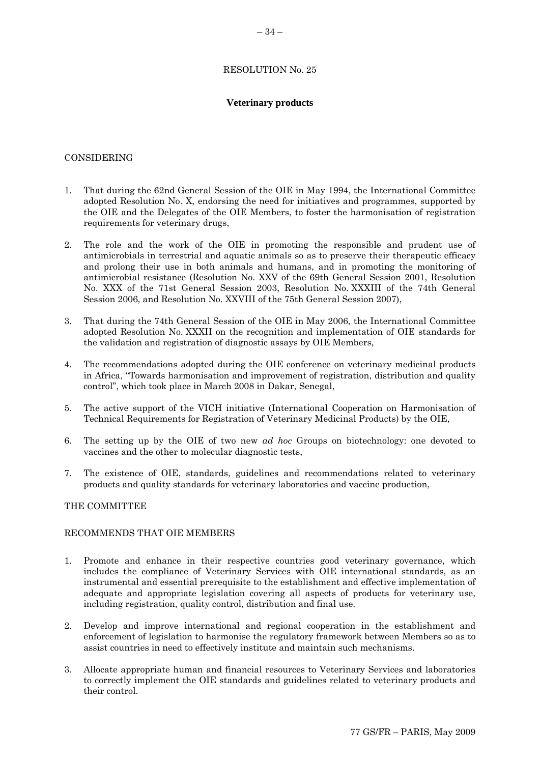### **Veterinary products**

### <span id="page-33-0"></span>CONSIDERING

- 1. That during the 62nd General Session of the OIE in May 1994, the International Committee adopted Resolution No. X, endorsing the need for initiatives and programmes, supported by the OIE and the Delegates of the OIE Members, to foster the harmonisation of registration requirements for veterinary drugs,
- 2. The role and the work of the OIE in promoting the responsible and prudent use of antimicrobials in terrestrial and aquatic animals so as to preserve their therapeutic efficacy and prolong their use in both animals and humans, and in promoting the monitoring of antimicrobial resistance (Resolution No. XXV of the 69th General Session 2001, Resolution No. XXX of the 71st General Session 2003, Resolution No. XXXIII of the 74th General Session 2006, and Resolution No. XXVIII of the 75th General Session 2007),
- 3. That during the 74th General Session of the OIE in May 2006, the International Committee adopted Resolution No. XXXII on the recognition and implementation of OIE standards for the validation and registration of diagnostic assays by OIE Members,
- 4. The recommendations adopted during the OIE conference on veterinary medicinal products in Africa, "Towards harmonisation and improvement of registration, distribution and quality control", which took place in March 2008 in Dakar, Senegal,
- 5. The active support of the VICH initiative (International Cooperation on Harmonisation of Technical Requirements for Registration of Veterinary Medicinal Products) by the OIE,
- 6. The setting up by the OIE of two new *ad hoc* Groups on biotechnology: one devoted to vaccines and the other to molecular diagnostic tests,
- 7. The existence of OIE, standards, guidelines and recommendations related to veterinary products and quality standards for veterinary laboratories and vaccine production,

#### THE COMMITTEE

#### RECOMMENDS THAT OIE MEMBERS

- 1. Promote and enhance in their respective countries good veterinary governance, which includes the compliance of Veterinary Services with OIE international standards, as an instrumental and essential prerequisite to the establishment and effective implementation of adequate and appropriate legislation covering all aspects of products for veterinary use, including registration, quality control, distribution and final use.
- 2. Develop and improve international and regional cooperation in the establishment and enforcement of legislation to harmonise the regulatory framework between Members so as to assist countries in need to effectively institute and maintain such mechanisms.
- 3. Allocate appropriate human and financial resources to Veterinary Services and laboratories to correctly implement the OIE standards and guidelines related to veterinary products and their control.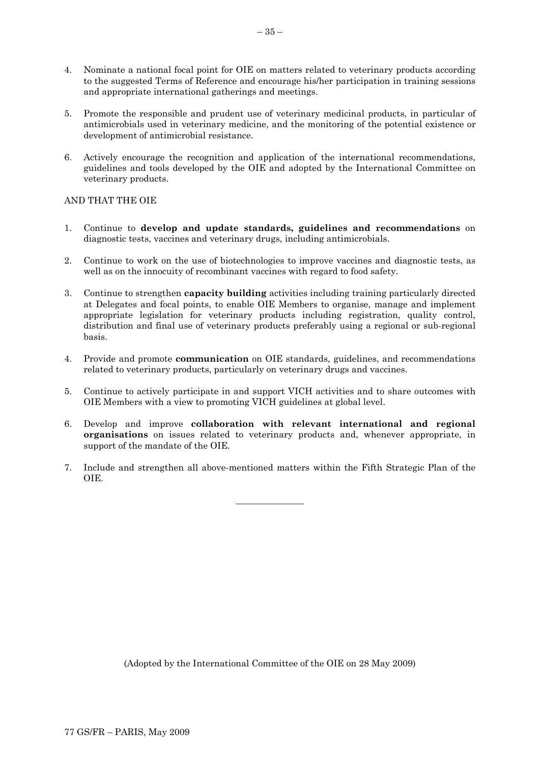- 4. Nominate a national focal point for OIE on matters related to veterinary products according to the suggested Terms of Reference and encourage his/her participation in training sessions and appropriate international gatherings and meetings.
- 5. Promote the responsible and prudent use of veterinary medicinal products, in particular of antimicrobials used in veterinary medicine, and the monitoring of the potential existence or development of antimicrobial resistance.
- 6. Actively encourage the recognition and application of the international recommendations, guidelines and tools developed by the OIE and adopted by the International Committee on veterinary products.

# AND THAT THE OIE

- 1. Continue to **develop and update standards, guidelines and recommendations** on diagnostic tests, vaccines and veterinary drugs, including antimicrobials.
- 2. Continue to work on the use of biotechnologies to improve vaccines and diagnostic tests, as well as on the innocuity of recombinant vaccines with regard to food safety.
- 3. Continue to strengthen **capacity building** activities including training particularly directed at Delegates and focal points, to enable OIE Members to organise, manage and implement appropriate legislation for veterinary products including registration, quality control, distribution and final use of veterinary products preferably using a regional or sub-regional basis.
- 4. Provide and promote **communication** on OIE standards, guidelines, and recommendations related to veterinary products, particularly on veterinary drugs and vaccines.
- 5. Continue to actively participate in and support VICH activities and to share outcomes with OIE Members with a view to promoting VICH guidelines at global level.
- 6. Develop and improve **collaboration with relevant international and regional organisations** on issues related to veterinary products and, whenever appropriate, in support of the mandate of the OIE.
- 7. Include and strengthen all above-mentioned matters within the Fifth Strategic Plan of the OIE.

 $\overline{\phantom{a}}$  , we can also the contract of  $\overline{\phantom{a}}$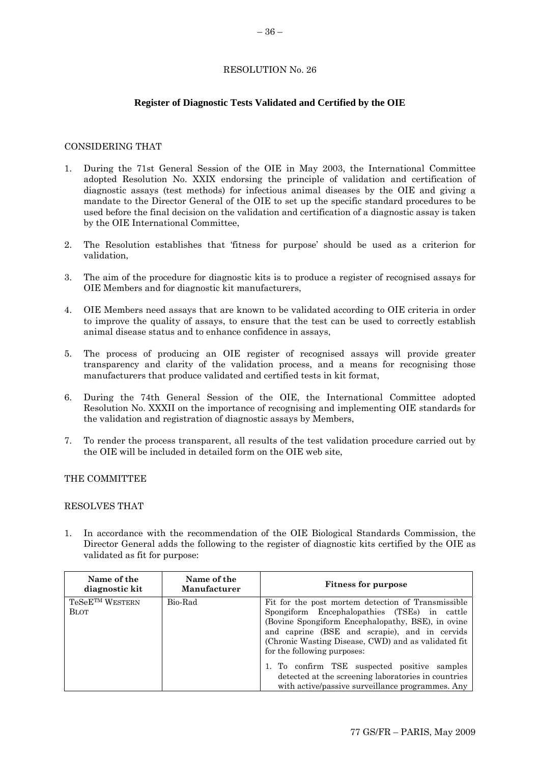### **Register of Diagnostic Tests Validated and Certified by the OIE**

#### <span id="page-35-0"></span>CONSIDERING THAT

- 1. During the 71st General Session of the OIE in May 2003, the International Committee adopted Resolution No. XXIX endorsing the principle of validation and certification of diagnostic assays (test methods) for infectious animal diseases by the OIE and giving a mandate to the Director General of the OIE to set up the specific standard procedures to be used before the final decision on the validation and certification of a diagnostic assay is taken by the OIE International Committee,
- 2. The Resolution establishes that 'fitness for purpose' should be used as a criterion for validation,
- 3. The aim of the procedure for diagnostic kits is to produce a register of recognised assays for OIE Members and for diagnostic kit manufacturers,
- 4. OIE Members need assays that are known to be validated according to OIE criteria in order to improve the quality of assays, to ensure that the test can be used to correctly establish animal disease status and to enhance confidence in assays,
- 5. The process of producing an OIE register of recognised assays will provide greater transparency and clarity of the validation process, and a means for recognising those manufacturers that produce validated and certified tests in kit format,
- 6. During the 74th General Session of the OIE, the International Committee adopted Resolution No. XXXII on the importance of recognising and implementing OIE standards for the validation and registration of diagnostic assays by Members,
- 7. To render the process transparent, all results of the test validation procedure carried out by the OIE will be included in detailed form on the OIE web site,

#### THE COMMITTEE

#### RESOLVES THAT

1. In accordance with the recommendation of the OIE Biological Standards Commission, the Director General adds the following to the register of diagnostic kits certified by the OIE as validated as fit for purpose:

| Name of the<br>diagnostic kit              | Name of the<br>Manufacturer | <b>Fitness for purpose</b>                                                                                                                                                                                                                                                                                                                                                                                                                                |
|--------------------------------------------|-----------------------------|-----------------------------------------------------------------------------------------------------------------------------------------------------------------------------------------------------------------------------------------------------------------------------------------------------------------------------------------------------------------------------------------------------------------------------------------------------------|
| TeSeE <sup>TM</sup> WESTERN<br><b>BLOT</b> | Bio-Rad                     | Fit for the post mortem detection of Transmissible<br>Spongiform Encephalopathies (TSEs) in cattle<br>(Bovine Spongiform Encephalopathy, BSE), in ovine<br>and caprine (BSE and scrapie), and in cervids<br>(Chronic Wasting Disease, CWD) and as validated fit<br>for the following purposes:<br>1. To confirm TSE suspected positive samples<br>detected at the screening laboratories in countries<br>with active/passive surveillance programmes. Any |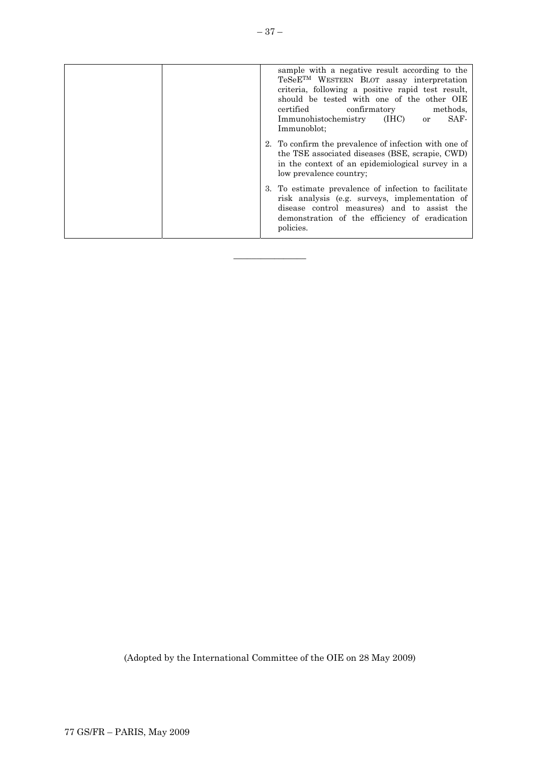|  | sample with a negative result according to the<br>TeSeE <sup>TM</sup> WESTERN BLOT assay interpretation<br>criteria, following a positive rapid test result,<br>should be tested with one of the other OIE<br>certified confirmatory methods,<br>SAF-<br>Immunohistochemistry (IHC) or<br>Immunoblot: |
|--|-------------------------------------------------------------------------------------------------------------------------------------------------------------------------------------------------------------------------------------------------------------------------------------------------------|
|  | 2. To confirm the prevalence of infection with one of<br>the TSE associated diseases (BSE, scrapie, CWD)<br>in the context of an epidemiological survey in a<br>low prevalence country;                                                                                                               |
|  | 3. To estimate prevalence of infection to facilitate<br>risk analysis (e.g. surveys, implementation of<br>disease control measures) and to assist the<br>demonstration of the efficiency of eradication<br>policies.                                                                                  |

 $\overline{\phantom{a}}$  , we can also the contract of  $\overline{\phantom{a}}$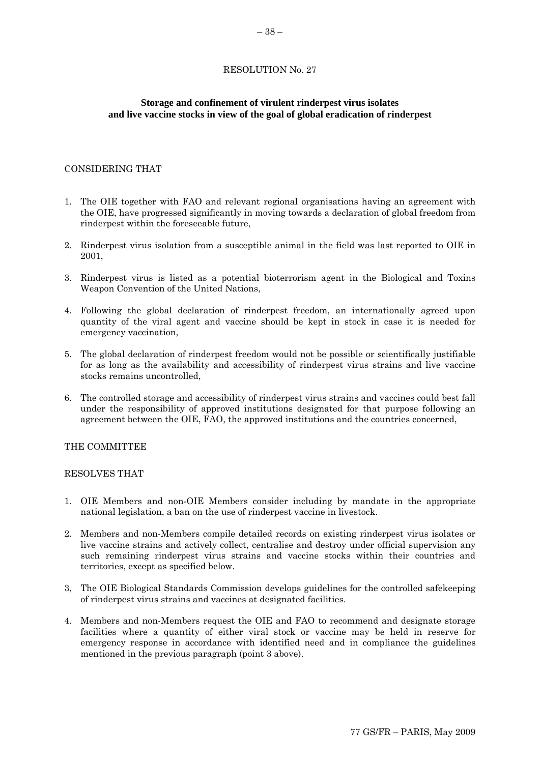### <span id="page-37-0"></span>**Storage and confinement of virulent rinderpest virus isolates and live vaccine stocks in view of the goal of global eradication of rinderpest**

#### CONSIDERING THAT

- 1. The OIE together with FAO and relevant regional organisations having an agreement with the OIE, have progressed significantly in moving towards a declaration of global freedom from rinderpest within the foreseeable future,
- 2. Rinderpest virus isolation from a susceptible animal in the field was last reported to OIE in 2001,
- 3. Rinderpest virus is listed as a potential bioterrorism agent in the Biological and Toxins Weapon Convention of the United Nations,
- 4. Following the global declaration of rinderpest freedom, an internationally agreed upon quantity of the viral agent and vaccine should be kept in stock in case it is needed for emergency vaccination,
- 5. The global declaration of rinderpest freedom would not be possible or scientifically justifiable for as long as the availability and accessibility of rinderpest virus strains and live vaccine stocks remains uncontrolled,
- 6. The controlled storage and accessibility of rinderpest virus strains and vaccines could best fall under the responsibility of approved institutions designated for that purpose following an agreement between the OIE, FAO, the approved institutions and the countries concerned,

### THE COMMITTEE

#### RESOLVES THAT

- 1. OIE Members and non-OIE Members consider including by mandate in the appropriate national legislation, a ban on the use of rinderpest vaccine in livestock.
- 2. Members and non-Members compile detailed records on existing rinderpest virus isolates or live vaccine strains and actively collect, centralise and destroy under official supervision any such remaining rinderpest virus strains and vaccine stocks within their countries and territories, except as specified below.
- 3, The OIE Biological Standards Commission develops guidelines for the controlled safekeeping of rinderpest virus strains and vaccines at designated facilities.
- 4. Members and non-Members request the OIE and FAO to recommend and designate storage facilities where a quantity of either viral stock or vaccine may be held in reserve for emergency response in accordance with identified need and in compliance the guidelines mentioned in the previous paragraph (point 3 above).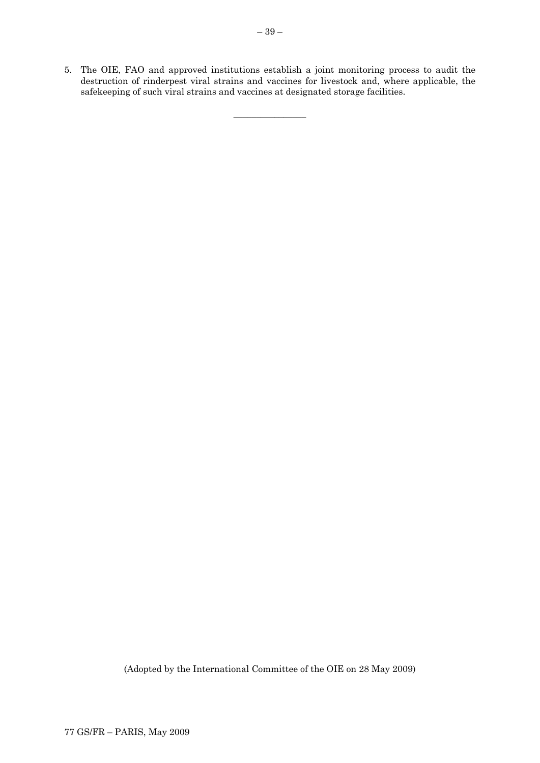5. The OIE, FAO and approved institutions establish a joint monitoring process to audit the destruction of rinderpest viral strains and vaccines for livestock and, where applicable, the safekeeping of such viral strains and vaccines at designated storage facilities.

 $\overline{\phantom{a}}$  , we can also the contract of  $\overline{\phantom{a}}$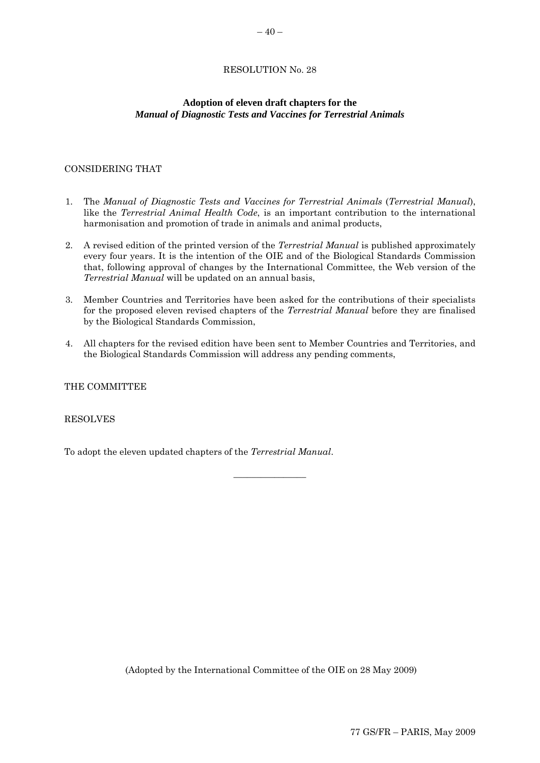# <span id="page-39-0"></span>**Adoption of eleven draft chapters for the**  *Manual of Diagnostic Tests and Vaccines for Terrestrial Animals*

### CONSIDERING THAT

- 1. The *Manual of Diagnostic Tests and Vaccines for Terrestrial Animals* (*Terrestrial Manual*), like the *Terrestrial Animal Health Code*, is an important contribution to the international harmonisation and promotion of trade in animals and animal products,
- 2. A revised edition of the printed version of the *Terrestrial Manual* is published approximately every four years. It is the intention of the OIE and of the Biological Standards Commission that, following approval of changes by the International Committee, the Web version of the *Terrestrial Manual* will be updated on an annual basis,
- 3. Member Countries and Territories have been asked for the contributions of their specialists for the proposed eleven revised chapters of the *Terrestrial Manual* before they are finalised by the Biological Standards Commission,
- 4. All chapters for the revised edition have been sent to Member Countries and Territories, and the Biological Standards Commission will address any pending comments,

 $\overline{\phantom{a}}$  , where  $\overline{\phantom{a}}$ 

THE COMMITTEE

RESOLVES

To adopt the eleven updated chapters of the *Terrestrial Manual*.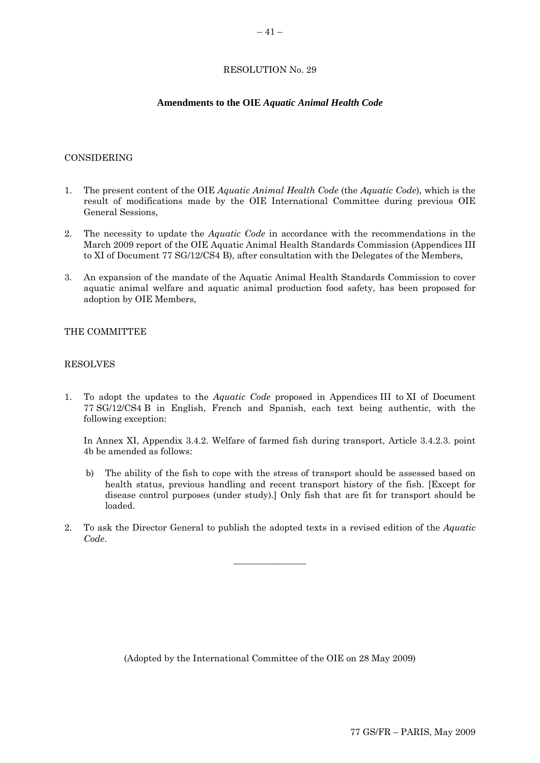### **Amendments to the OIE** *Aquatic Animal Health Code*

#### <span id="page-40-0"></span>CONSIDERING

- 1. The present content of the OIE *Aquatic Animal Health Code* (the *Aquatic Code*), which is the result of modifications made by the OIE International Committee during previous OIE General Sessions,
- 2. The necessity to update the *Aquatic Code* in accordance with the recommendations in the March 2009 report of the OIE Aquatic Animal Health Standards Commission (Appendices III to XI of Document 77 SG/12/CS4 B), after consultation with the Delegates of the Members,
- 3. An expansion of the mandate of the Aquatic Animal Health Standards Commission to cover aquatic animal welfare and aquatic animal production food safety, has been proposed for adoption by OIE Members,

#### THE COMMITTEE

### RESOLVES

1. To adopt the updates to the *Aquatic Code* proposed in Appendices III to XI of Document 77 SG/12/CS4 B in English, French and Spanish, each text being authentic, with the following exception:

In Annex XI, Appendix 3.4.2. Welfare of farmed fish during transport, Article 3.4.2.3. point 4b be amended as follows:

- b) The ability of the fish to cope with the stress of transport should be assessed based on health status, previous handling and recent transport history of the fish. [Except for disease control purposes (under study).] Only fish that are fit for transport should be loaded.
- 2. To ask the Director General to publish the adopted texts in a revised edition of the *Aquatic Code*.

 $\overline{\phantom{a}}$  , we can also the contract of  $\overline{\phantom{a}}$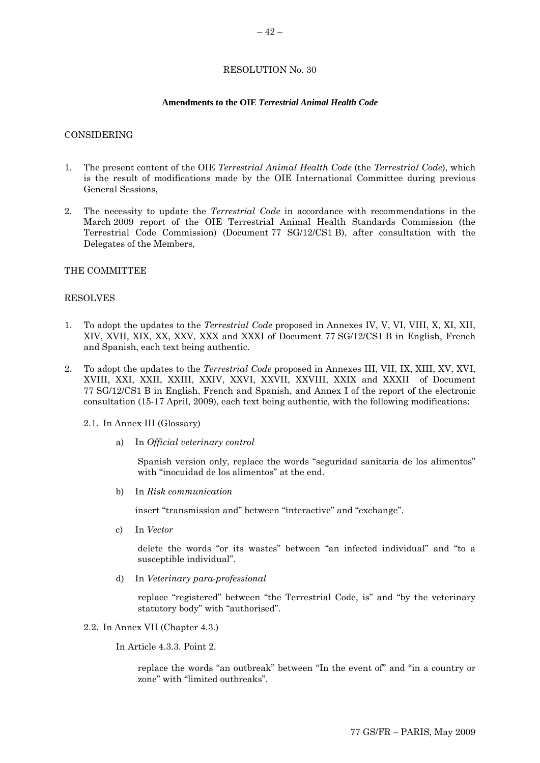#### **Amendments to the OIE** *Terrestrial Animal Health Code*

#### <span id="page-41-0"></span>CONSIDERING

- 1. The present content of the OIE *Terrestrial Animal Health Code* (the *Terrestrial Code*), which is the result of modifications made by the OIE International Committee during previous General Sessions,
- 2. The necessity to update the *Terrestrial Code* in accordance with recommendations in the March 2009 report of the OIE Terrestrial Animal Health Standards Commission (the Terrestrial Code Commission) (Document 77 SG/12/CS1 B), after consultation with the Delegates of the Members,

#### THE COMMITTEE

#### RESOLVES

- 1. To adopt the updates to the *Terrestrial Code* proposed in Annexes IV, V, VI, VIII, X, XI, XII, XIV, XVII, XIX, XX, XXV, XXX and XXXI of Document 77 SG/12/CS1 B in English, French and Spanish, each text being authentic.
- 2. To adopt the updates to the *Terrestrial Code* proposed in Annexes III, VII, IX, XIII, XV, XVI, XVIII, XXI, XXII, XXIII, XXIV, XXVI, XXVII, XXVIII, XXIX and XXXII of Document 77 SG/12/CS1 B in English, French and Spanish, and Annex I of the report of the electronic consultation (15-17 April, 2009), each text being authentic, with the following modifications:
	- 2.1. In Annex III (Glossary)
		- a) In *Official veterinary control*

Spanish version only, replace the words "seguridad sanitaria de los alimentos" with "inocuidad de los alimentos" at the end.

b) In *Risk communication*

insert "transmission and" between "interactive" and "exchange".

c) In *Vector*

delete the words "or its wastes" between "an infected individual" and "to a susceptible individual".

d) In *Veterinary para-professional*

replace "registered" between "the Terrestrial Code, is" and "by the veterinary statutory body" with "authorised".

2.2. In Annex VII (Chapter 4.3.)

In Article 4.3.3. Point 2.

replace the words "an outbreak" between "In the event of" and "in a country or zone" with "limited outbreaks".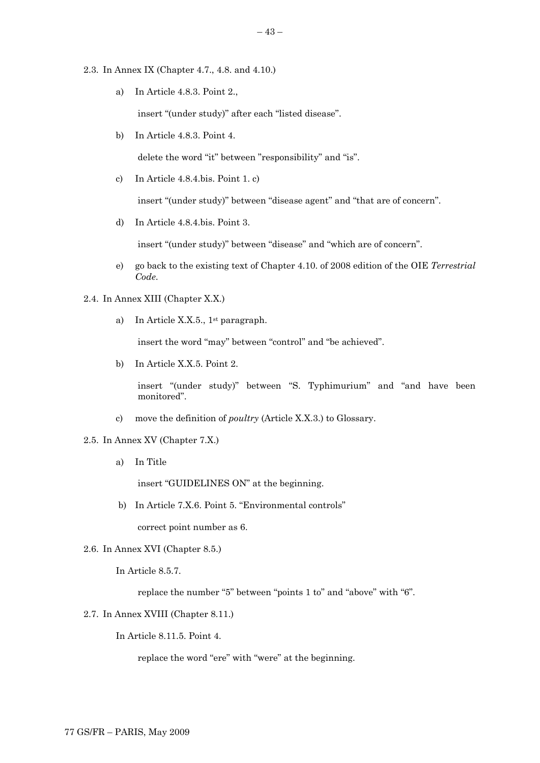- 2.3. In Annex IX (Chapter 4.7., 4.8. and 4.10.)
	- a) In Article 4.8.3. Point 2.,

insert "(under study)" after each "listed disease".

b) In Article 4.8.3. Point 4.

delete the word "it" between "responsibility" and "is".

c) In Article 4.8.4.bis. Point 1. c)

insert "(under study)" between "disease agent" and "that are of concern".

d) In Article 4.8.4.bis. Point 3.

insert "(under study)" between "disease" and "which are of concern".

- e) go back to the existing text of Chapter 4.10. of 2008 edition of the OIE *Terrestrial Code*.
- 2.4. In Annex XIII (Chapter X.X.)
	- a) In Article X.X.5., 1st paragraph.

insert the word "may" between "control" and "be achieved".

b) In Article X.X.5. Point 2.

insert "(under study)" between "S. Typhimurium" and "and have been monitored".

- c) move the definition of *poultry* (Article X.X.3.) to Glossary.
- 2.5. In Annex XV (Chapter 7.X.)
	- a) In Title

insert "GUIDELINES ON" at the beginning.

b) In Article 7.X.6. Point 5. "Environmental controls"

correct point number as 6.

2.6. In Annex XVI (Chapter 8.5.)

In Article 8.5.7.

replace the number "5" between "points 1 to" and "above" with "6".

2.7. In Annex XVIII (Chapter 8.11.)

In Article 8.11.5. Point 4.

replace the word "ere" with "were" at the beginning.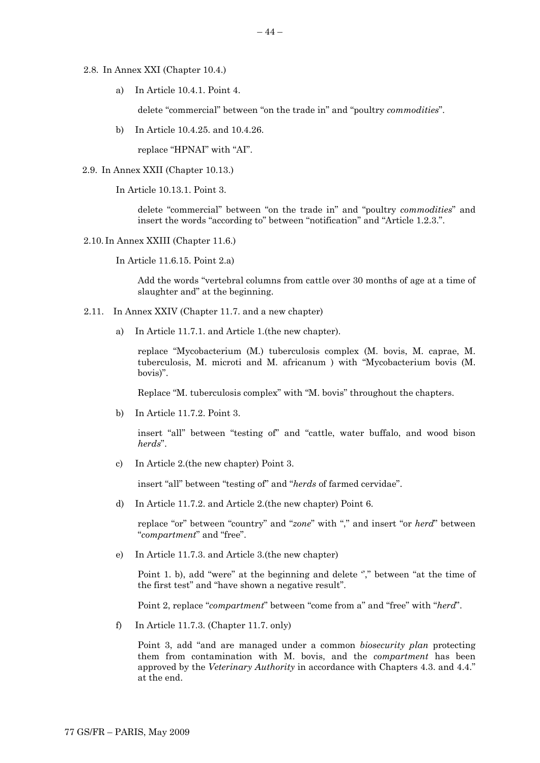- 2.8. In Annex XXI (Chapter 10.4.)
	- a) In Article 10.4.1. Point 4.

delete "commercial" between "on the trade in" and "poultry *commodities*".

b) In Article 10.4.25. and 10.4.26.

replace "HPNAI" with "AI".

2.9. In Annex XXII (Chapter 10.13.)

In Article 10.13.1. Point 3.

delete "commercial" between "on the trade in" and "poultry *commodities*" and insert the words "according to" between "notification" and "Article 1.2.3.".

2.10. In Annex XXIII (Chapter 11.6.)

In Article 11.6.15. Point 2.a)

Add the words "vertebral columns from cattle over 30 months of age at a time of slaughter and" at the beginning.

- 2.11. In Annex XXIV (Chapter 11.7. and a new chapter)
	- a) In Article 11.7.1. and Article 1.(the new chapter).

replace "Mycobacterium (M.) tuberculosis complex (M. bovis, M. caprae, M. tuberculosis, M. microti and M. africanum ) with "Mycobacterium bovis (M. bovis)".

Replace "M. tuberculosis complex" with "M. bovis" throughout the chapters.

b) In Article 11.7.2. Point 3.

insert "all" between "testing of" and "cattle, water buffalo, and wood bison *herds*".

c) In Article 2.(the new chapter) Point 3.

insert "all" between "testing of" and "*herds* of farmed cervidae".

d) In Article 11.7.2. and Article 2.(the new chapter) Point 6.

replace "or" between "country" and "*zone*" with "," and insert "or *herd*" between "*compartment*" and "free".

e) In Article 11.7.3. and Article 3.(the new chapter)

Point 1. b), add "were" at the beginning and delete "," between "at the time of the first test" and "have shown a negative result".

Point 2, replace "*compartment*" between "come from a" and "free" with "*herd*".

f) In Article 11.7.3. (Chapter 11.7. only)

Point 3, add "and are managed under a common *biosecurity plan* protecting them from contamination with M. bovis, and the *compartment* has been approved by the *Veterinary Authority* in accordance with Chapters 4.3. and 4.4." at the end.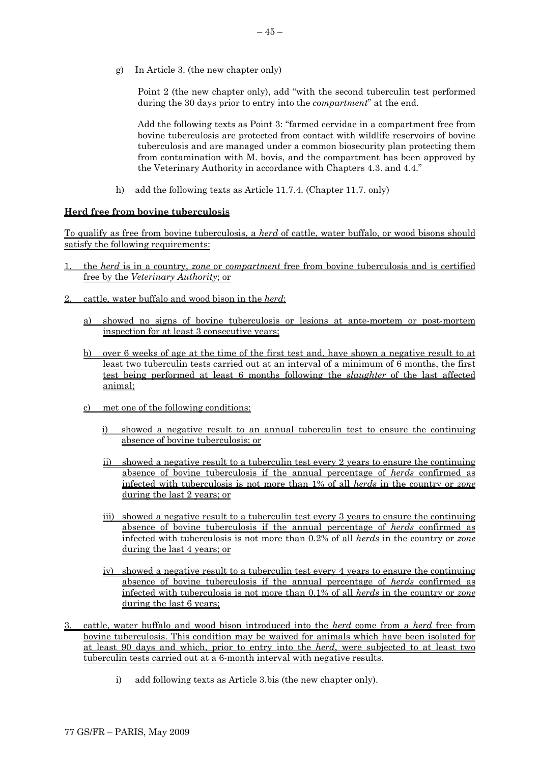g) In Article 3. (the new chapter only)

Point 2 (the new chapter only), add "with the second tuberculin test performed during the 30 days prior to entry into the *compartment*" at the end.

Add the following texts as Point 3: "farmed cervidae in a compartment free from bovine tuberculosis are protected from contact with wildlife reservoirs of bovine tuberculosis and are managed under a common biosecurity plan protecting them from contamination with M. bovis, and the compartment has been approved by the Veterinary Authority in accordance with Chapters 4.3. and 4.4."

h) add the following texts as Article 11.7.4. (Chapter 11.7. only)

### **Herd free from bovine tuberculosis**

To qualify as free from bovine tuberculosis, a *herd* of cattle, water buffalo, or wood bisons should satisfy the following requirements:

- 1. the *herd* is in a country, *zone* or *compartment* free from bovine tuberculosis and is certified free by the *Veterinary Authority*; or
- 2. cattle, water buffalo and wood bison in the *herd*:
	- a) showed no signs of bovine tuberculosis or lesions at ante-mortem or post-mortem inspection for at least 3 consecutive years;
	- b) over 6 weeks of age at the time of the first test and, have shown a negative result to at least two tuberculin tests carried out at an interval of a minimum of 6 months, the first test being performed at least 6 months following the *slaughter* of the last affected animal;
	- c) met one of the following conditions:
		- i) showed a negative result to an annual tuberculin test to ensure the continuing absence of bovine tuberculosis; or
		- ii) showed a negative result to a tuberculin test every 2 years to ensure the continuing absence of bovine tuberculosis if the annual percentage of *herds* confirmed as infected with tuberculosis is not more than 1% of all *herds* in the country or *zone*  during the last 2 years; or
		- iii) showed a negative result to a tuberculin test every 3 years to ensure the continuing absence of bovine tuberculosis if the annual percentage of *herds* confirmed as infected with tuberculosis is not more than 0.2% of all *herds* in the country or *zone*  during the last 4 years; or
		- iv) showed a negative result to a tuberculin test every 4 years to ensure the continuing absence of bovine tuberculosis if the annual percentage of *herds* confirmed as infected with tuberculosis is not more than 0.1% of all *herds* in the country or *zone*  during the last 6 years;
- 3. cattle, water buffalo and wood bison introduced into the *herd* come from a *herd* free from bovine tuberculosis. This condition may be waived for animals which have been isolated for at least 90 days and which, prior to entry into the *herd*, were subjected to at least two tuberculin tests carried out at a 6-month interval with negative results.
	- i) add following texts as Article 3.bis (the new chapter only).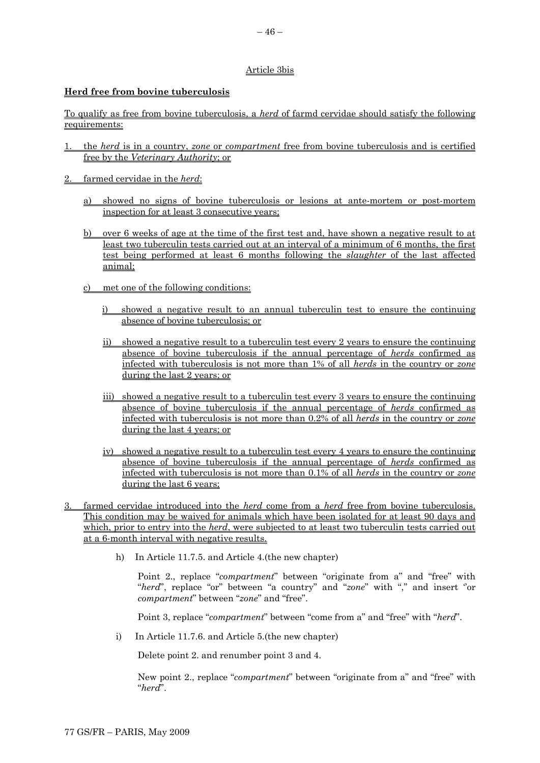# Article 3bis

# **Herd free from bovine tuberculosis**

To qualify as free from bovine tuberculosis, a *herd* of farmd cervidae should satisfy the following requirements:

- 1. the *herd* is in a country, *zone* or *compartment* free from bovine tuberculosis and is certified free by the *Veterinary Authority*; or
- 2. farmed cervidae in the *herd*:
	- a) showed no signs of bovine tuberculosis or lesions at ante-mortem or post-mortem inspection for at least 3 consecutive years;
	- b) over 6 weeks of age at the time of the first test and, have shown a negative result to at least two tuberculin tests carried out at an interval of a minimum of 6 months, the first test being performed at least 6 months following the *slaughter* of the last affected animal;
	- c) met one of the following conditions:
		- i) showed a negative result to an annual tuberculin test to ensure the continuing absence of bovine tuberculosis; or
		- ii) showed a negative result to a tuberculin test every 2 years to ensure the continuing absence of bovine tuberculosis if the annual percentage of *herds* confirmed as infected with tuberculosis is not more than 1% of all *herds* in the country or *zone*  during the last 2 years; or
		- iii) showed a negative result to a tuberculin test every 3 years to ensure the continuing absence of bovine tuberculosis if the annual percentage of *herds* confirmed as infected with tuberculosis is not more than 0.2% of all *herds* in the country or *zone*  during the last 4 years; or
		- iv) showed a negative result to a tuberculin test every 4 years to ensure the continuing absence of bovine tuberculosis if the annual percentage of *herds* confirmed as infected with tuberculosis is not more than 0.1% of all *herds* in the country or *zone*  during the last 6 years;
- 3. farmed cervidae introduced into the *herd* come from a *herd* free from bovine tuberculosis. This condition may be waived for animals which have been isolated for at least 90 days and which, prior to entry into the *herd*, were subjected to at least two tuberculin tests carried out at a 6-month interval with negative results.
	- h) In Article 11.7.5. and Article 4.(the new chapter)

Point 2., replace "*compartment*" between "originate from a" and "free" with "*herd*", replace "or" between "a country" and "*zone*" with "," and insert "or *compartment*" between "*zone*" and "free".

Point 3, replace "*compartment*" between "come from a" and "free" with "*herd*".

i) In Article 11.7.6. and Article 5.(the new chapter)

Delete point 2. and renumber point 3 and 4.

New point 2., replace "*compartment*" between "originate from a" and "free" with "*herd*".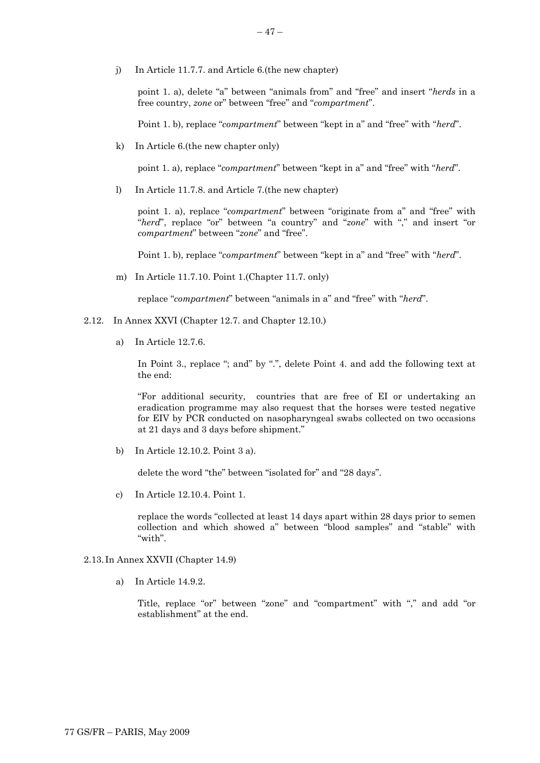j) In Article 11.7.7. and Article 6.(the new chapter)

point 1. a), delete "a" between "animals from" and "free" and insert "*herds* in a free country, *zone* or" between "free" and "*compartment*".

Point 1. b), replace "*compartment*" between "kept in a" and "free" with "*herd*".

k) In Article 6.(the new chapter only)

point 1. a), replace "*compartment*" between "kept in a" and "free" with "*herd*".

l) In Article 11.7.8. and Article 7.(the new chapter)

point 1. a), replace "*compartment*" between "originate from a" and "free" with "*herd*", replace "or" between "a country" and "*zone*" with "," and insert "or *compartment*" between "*zone*" and "free".

Point 1. b), replace "*compartment*" between "kept in a" and "free" with "*herd*".

m) In Article 11.7.10. Point 1.(Chapter 11.7. only)

replace "*compartment*" between "animals in a" and "free" with "*herd*".

- 2.12. In Annex XXVI (Chapter 12.7. and Chapter 12.10.)
	- a) In Article 12.7.6.

In Point 3., replace "; and" by ".", delete Point 4. and add the following text at the end:

"For additional security, countries that are free of EI or undertaking an eradication programme may also request that the horses were tested negative for EIV by PCR conducted on nasopharyngeal swabs collected on two occasions at 21 days and 3 days before shipment."

b) In Article 12.10.2. Point 3 a).

delete the word "the" between "isolated for" and "28 days".

c) In Article 12.10.4. Point 1.

replace the words "collected at least 14 days apart within 28 days prior to semen collection and which showed a" between "blood samples" and "stable" with "with".

#### 2.13. In Annex XXVII (Chapter 14.9)

a) In Article 14.9.2.

Title, replace "or" between "zone" and "compartment" with "," and add "or establishment" at the end.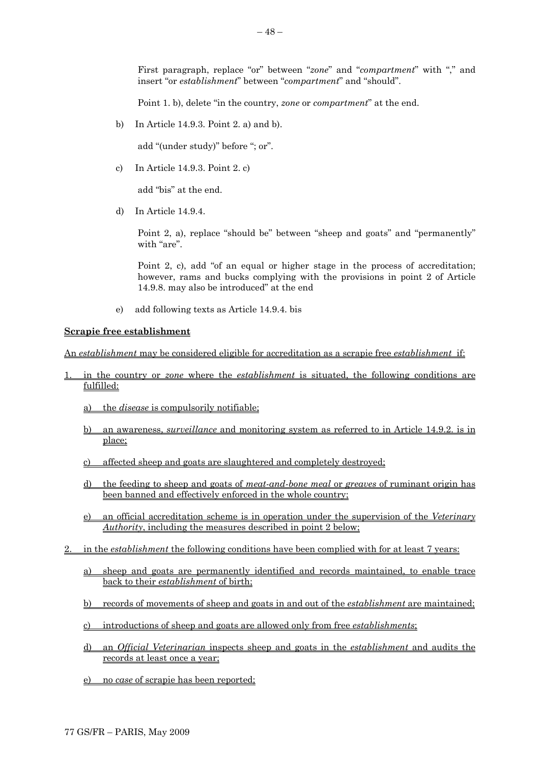First paragraph, replace "or" between "*zone*" and "*compartment*" with "," and insert "or *establishment*" between "*compartment*" and "should".

Point 1. b), delete "in the country, *zone* or *compartment*" at the end.

b) In Article 14.9.3. Point 2. a) and b).

add "(under study)" before "; or".

c) In Article 14.9.3. Point 2. c)

add "bis" at the end.

d) In Article 14.9.4.

Point 2, a), replace "should be" between "sheep and goats" and "permanently" with "are".

Point 2, c), add "of an equal or higher stage in the process of accreditation; however, rams and bucks complying with the provisions in point 2 of Article 14.9.8. may also be introduced" at the end

e) add following texts as Article 14.9.4. bis

#### **Scrapie free establishment**

An *establishment* may be considered eligible for accreditation as a scrapie free *establishment* if:

- 1. in the country or *zone* where the *establishment* is situated, the following conditions are fulfilled:
	- a) the *disease* is compulsorily notifiable;
	- b) an awareness, *surveillance* and monitoring system as referred to in Article 14.9.2. is in place;
	- c) affected sheep and goats are slaughtered and completely destroyed;
	- d) the feeding to sheep and goats of *meat-and-bone meal* or *greaves* of ruminant origin has been banned and effectively enforced in the whole country;
	- e) an official accreditation scheme is in operation under the supervision of the *Veterinary Authority*, including the measures described in point 2 below;
- 2. in the *establishment* the following conditions have been complied with for at least 7 years:
	- a) sheep and goats are permanently identified and records maintained, to enable trace back to their *establishment* of birth;
	- b) records of movements of sheep and goats in and out of the *establishment* are maintained;
	- c) introductions of sheep and goats are allowed only from free *establishments*;
	- d) an *Official Veterinarian* inspects sheep and goats in the *establishment* and audits the records at least once a year;
	- e) no *case* of scrapie has been reported;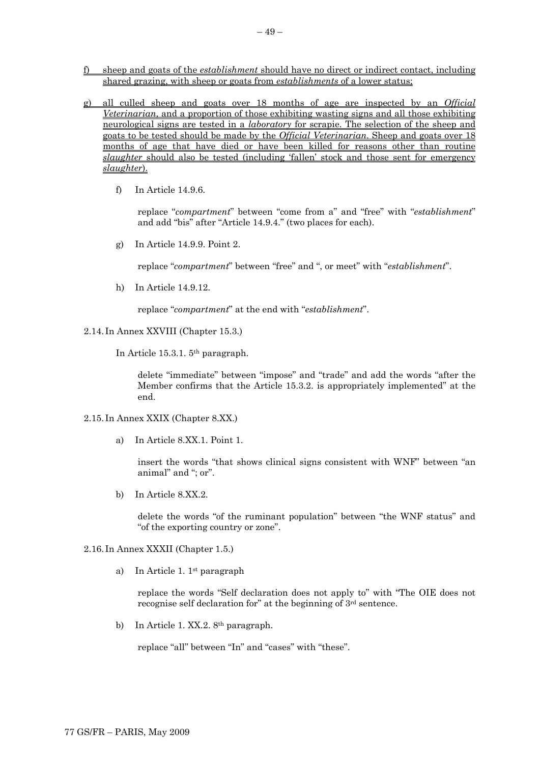- f) sheep and goats of the *establishment* should have no direct or indirect contact, including shared grazing, with sheep or goats from *establishments* of a lower status;
- g) all culled sheep and goats over 18 months of age are inspected by an *Official Veterinarian*, and a proportion of those exhibiting wasting signs and all those exhibiting neurological signs are tested in a *laboratory* for scrapie. The selection of the sheep and goats to be tested should be made by the *Official Veterinarian*. Sheep and goats over 18 months of age that have died or have been killed for reasons other than routine *slaughter* should also be tested (including 'fallen' stock and those sent for emergency *slaughter*).
	- f) In Article 14.9.6.

replace "*compartment*" between "come from a" and "free" with "*establishment*" and add "bis" after "Article 14.9.4." (two places for each).

g) In Article 14.9.9. Point 2.

replace "*compartment*" between "free" and ", or meet" with "*establishment*".

h) In Article 14.9.12.

replace "*compartment*" at the end with "*establishment*".

2.14. In Annex XXVIII (Chapter 15.3.)

In Article 15.3.1. 5th paragraph.

delete "immediate" between "impose" and "trade" and add the words "after the Member confirms that the Article 15.3.2. is appropriately implemented" at the end.

- 2.15. In Annex XXIX (Chapter 8.XX.)
	- a) In Article 8.XX.1. Point 1.

insert the words "that shows clinical signs consistent with WNF" between "an animal" and "; or".

b) In Article 8.XX.2.

delete the words "of the ruminant population" between "the WNF status" and "of the exporting country or zone".

### 2.16. In Annex XXXII (Chapter 1.5.)

a) In Article 1. 1st paragraph

replace the words "Self declaration does not apply to" with "The OIE does not recognise self declaration for" at the beginning of 3rd sentence.

b) In Article 1. XX.2. 8<sup>th</sup> paragraph.

replace "all" between "In" and "cases" with "these".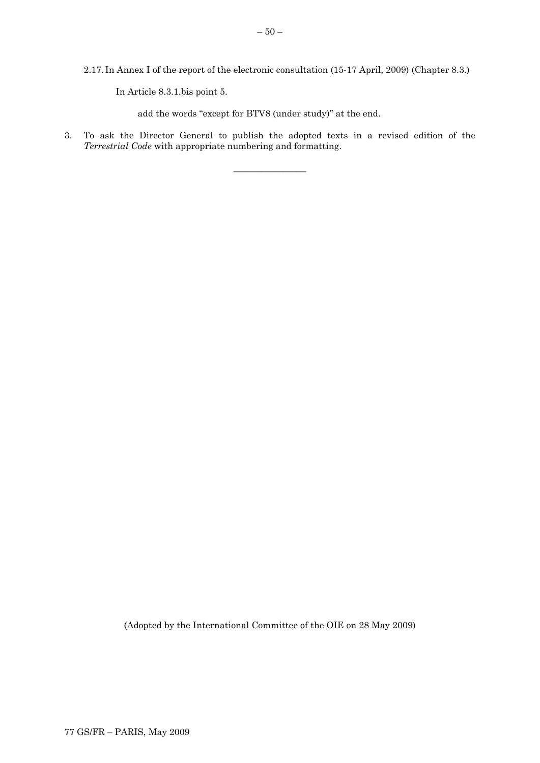In Article 8.3.1.bis point 5.

add the words "except for BTV8 (under study)" at the end.

3. To ask the Director General to publish the adopted texts in a revised edition of the *Terrestrial Code* with appropriate numbering and formatting.

 $\overline{\phantom{a}}$  , we can also the contract of  $\overline{\phantom{a}}$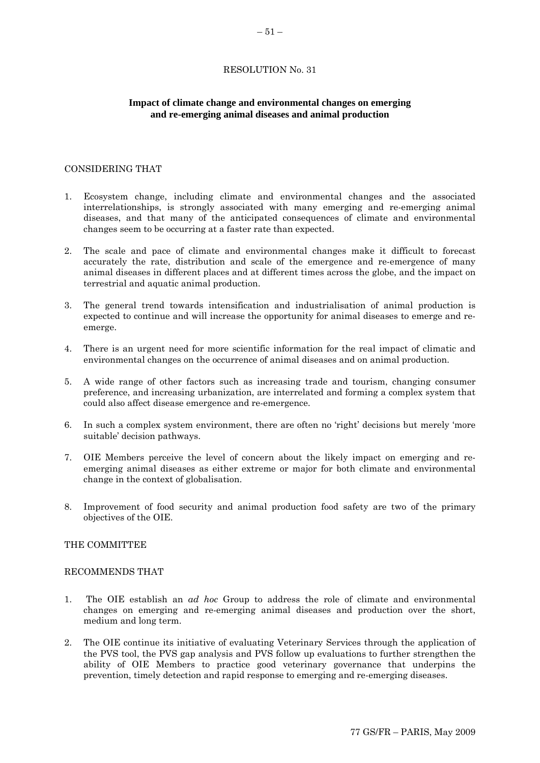### <span id="page-50-0"></span>**Impact of climate change and environmental changes on emerging and re-emerging animal diseases and animal production**

#### CONSIDERING THAT

- 1. Ecosystem change, including climate and environmental changes and the associated interrelationships, is strongly associated with many emerging and re-emerging animal diseases, and that many of the anticipated consequences of climate and environmental changes seem to be occurring at a faster rate than expected.
- 2. The scale and pace of climate and environmental changes make it difficult to forecast accurately the rate, distribution and scale of the emergence and re-emergence of many animal diseases in different places and at different times across the globe, and the impact on terrestrial and aquatic animal production.
- 3. The general trend towards intensification and industrialisation of animal production is expected to continue and will increase the opportunity for animal diseases to emerge and reemerge.
- 4. There is an urgent need for more scientific information for the real impact of climatic and environmental changes on the occurrence of animal diseases and on animal production.
- 5. A wide range of other factors such as increasing trade and tourism, changing consumer preference, and increasing urbanization, are interrelated and forming a complex system that could also affect disease emergence and re-emergence.
- 6. In such a complex system environment, there are often no 'right' decisions but merely 'more suitable' decision pathways.
- 7. OIE Members perceive the level of concern about the likely impact on emerging and reemerging animal diseases as either extreme or major for both climate and environmental change in the context of globalisation.
- 8. Improvement of food security and animal production food safety are two of the primary objectives of the OIE.

#### THE COMMITTEE

#### RECOMMENDS THAT

- 1. The OIE establish an *ad hoc* Group to address the role of climate and environmental changes on emerging and re-emerging animal diseases and production over the short, medium and long term.
- 2. The OIE continue its initiative of evaluating Veterinary Services through the application of the PVS tool, the PVS gap analysis and PVS follow up evaluations to further strengthen the ability of OIE Members to practice good veterinary governance that underpins the prevention, timely detection and rapid response to emerging and re-emerging diseases.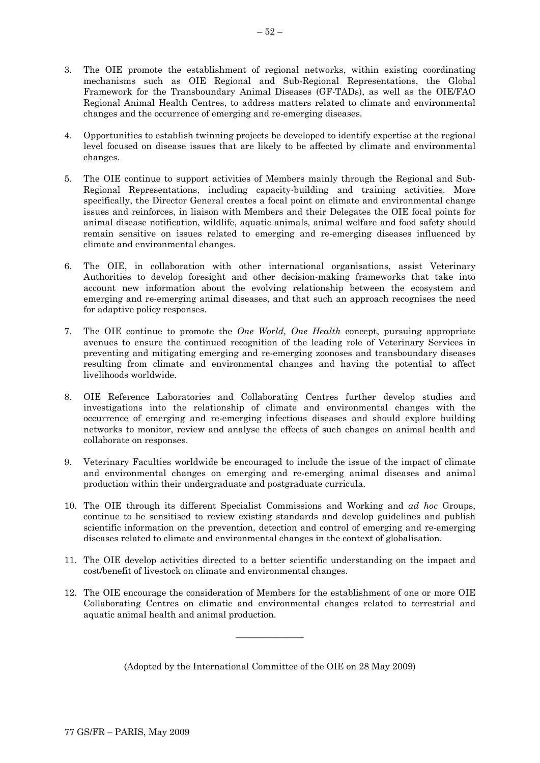- 3. The OIE promote the establishment of regional networks, within existing coordinating mechanisms such as OIE Regional and Sub-Regional Representations, the Global Framework for the Transboundary Animal Diseases (GF-TADs), as well as the OIE/FAO Regional Animal Health Centres, to address matters related to climate and environmental changes and the occurrence of emerging and re-emerging diseases.
- 4. Opportunities to establish twinning projects be developed to identify expertise at the regional level focused on disease issues that are likely to be affected by climate and environmental changes.
- 5. The OIE continue to support activities of Members mainly through the Regional and Sub-Regional Representations, including capacity-building and training activities. More specifically, the Director General creates a focal point on climate and environmental change issues and reinforces, in liaison with Members and their Delegates the OIE focal points for animal disease notification, wildlife, aquatic animals, animal welfare and food safety should remain sensitive on issues related to emerging and re-emerging diseases influenced by climate and environmental changes.
- 6. The OIE, in collaboration with other international organisations, assist Veterinary Authorities to develop foresight and other decision-making frameworks that take into account new information about the evolving relationship between the ecosystem and emerging and re-emerging animal diseases, and that such an approach recognises the need for adaptive policy responses.
- 7. The OIE continue to promote the *One World, One Health* concept, pursuing appropriate avenues to ensure the continued recognition of the leading role of Veterinary Services in preventing and mitigating emerging and re-emerging zoonoses and transboundary diseases resulting from climate and environmental changes and having the potential to affect livelihoods worldwide.
- 8. OIE Reference Laboratories and Collaborating Centres further develop studies and investigations into the relationship of climate and environmental changes with the occurrence of emerging and re-emerging infectious diseases and should explore building networks to monitor, review and analyse the effects of such changes on animal health and collaborate on responses.
- 9. Veterinary Faculties worldwide be encouraged to include the issue of the impact of climate and environmental changes on emerging and re-emerging animal diseases and animal production within their undergraduate and postgraduate curricula.
- 10. The OIE through its different Specialist Commissions and Working and *ad hoc* Groups, continue to be sensitised to review existing standards and develop guidelines and publish scientific information on the prevention, detection and control of emerging and re-emerging diseases related to climate and environmental changes in the context of globalisation.
- 11. The OIE develop activities directed to a better scientific understanding on the impact and cost/benefit of livestock on climate and environmental changes.
- 12. The OIE encourage the consideration of Members for the establishment of one or more OIE Collaborating Centres on climatic and environmental changes related to terrestrial and aquatic animal health and animal production.

 $\overline{\phantom{a}}$  , we can also the contract of  $\overline{\phantom{a}}$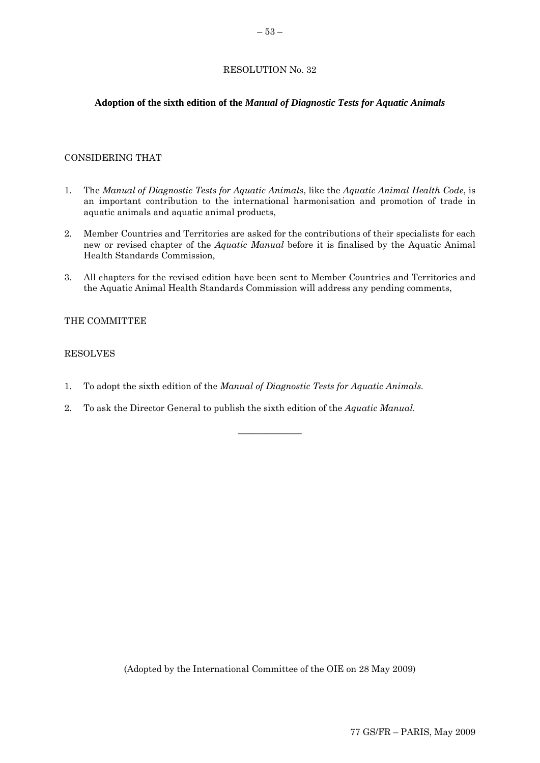### <span id="page-52-0"></span>**Adoption of the sixth edition of the** *Manual of Diagnostic Tests for Aquatic Animals*

#### CONSIDERING THAT

- 1. The *Manual of Diagnostic Tests for Aquatic Animals*, like the *Aquatic Animal Health Code*, is an important contribution to the international harmonisation and promotion of trade in aquatic animals and aquatic animal products,
- 2. Member Countries and Territories are asked for the contributions of their specialists for each new or revised chapter of the *Aquatic Manual* before it is finalised by the Aquatic Animal Health Standards Commission,
- 3. All chapters for the revised edition have been sent to Member Countries and Territories and the Aquatic Animal Health Standards Commission will address any pending comments,

 $\overline{\phantom{a}}$  , where  $\overline{\phantom{a}}$ 

#### THE COMMITTEE

### RESOLVES

- 1. To adopt the sixth edition of the *Manual of Diagnostic Tests for Aquatic Animals.*
- 2. To ask the Director General to publish the sixth edition of the *Aquatic Manual.*